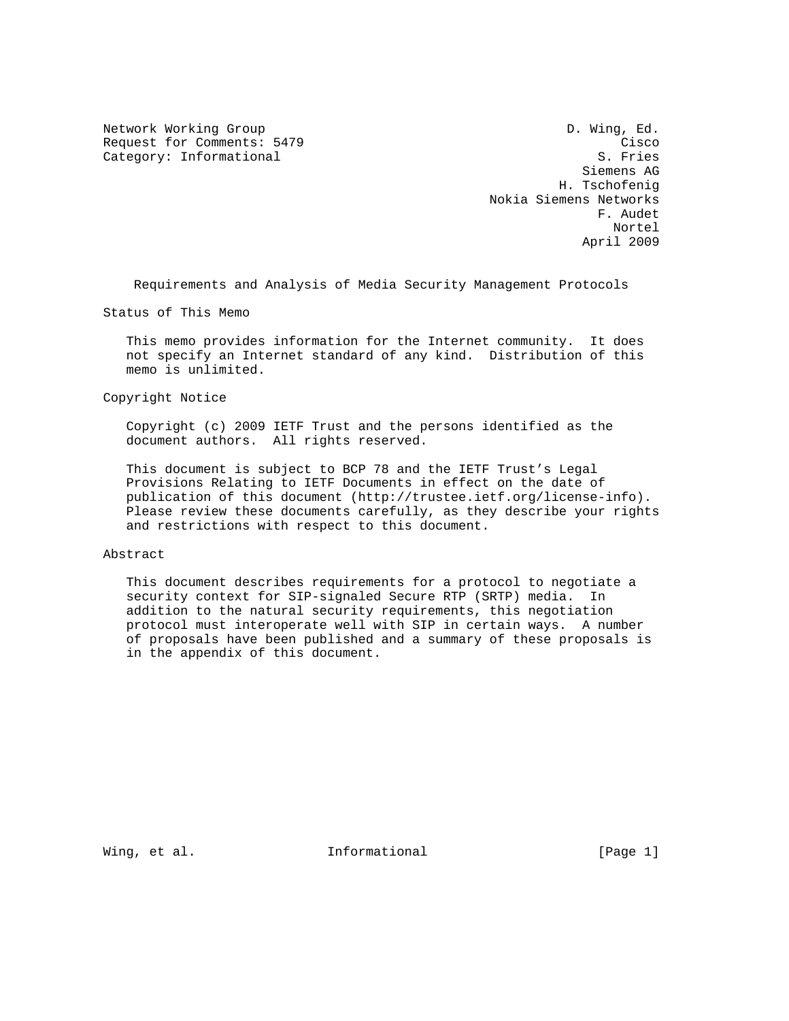Request for Comments: 5479 Cisco<br>Category: Informational Category: Category: Category: Category: Category: Category: Category: Category: Catego Category: Informational

Network Working Group D. Wing, Ed. Siemens AG H. Tschofenig Nokia Siemens Networks F. Audet Nortel April 2009

Requirements and Analysis of Media Security Management Protocols

Status of This Memo

 This memo provides information for the Internet community. It does not specify an Internet standard of any kind. Distribution of this memo is unlimited.

Copyright Notice

 Copyright (c) 2009 IETF Trust and the persons identified as the document authors. All rights reserved.

 This document is subject to BCP 78 and the IETF Trust's Legal Provisions Relating to IETF Documents in effect on the date of publication of this document (http://trustee.ietf.org/license-info). Please review these documents carefully, as they describe your rights and restrictions with respect to this document.

## Abstract

 This document describes requirements for a protocol to negotiate a security context for SIP-signaled Secure RTP (SRTP) media. In addition to the natural security requirements, this negotiation protocol must interoperate well with SIP in certain ways. A number of proposals have been published and a summary of these proposals is in the appendix of this document.

Wing, et al. **Informational** [Page 1]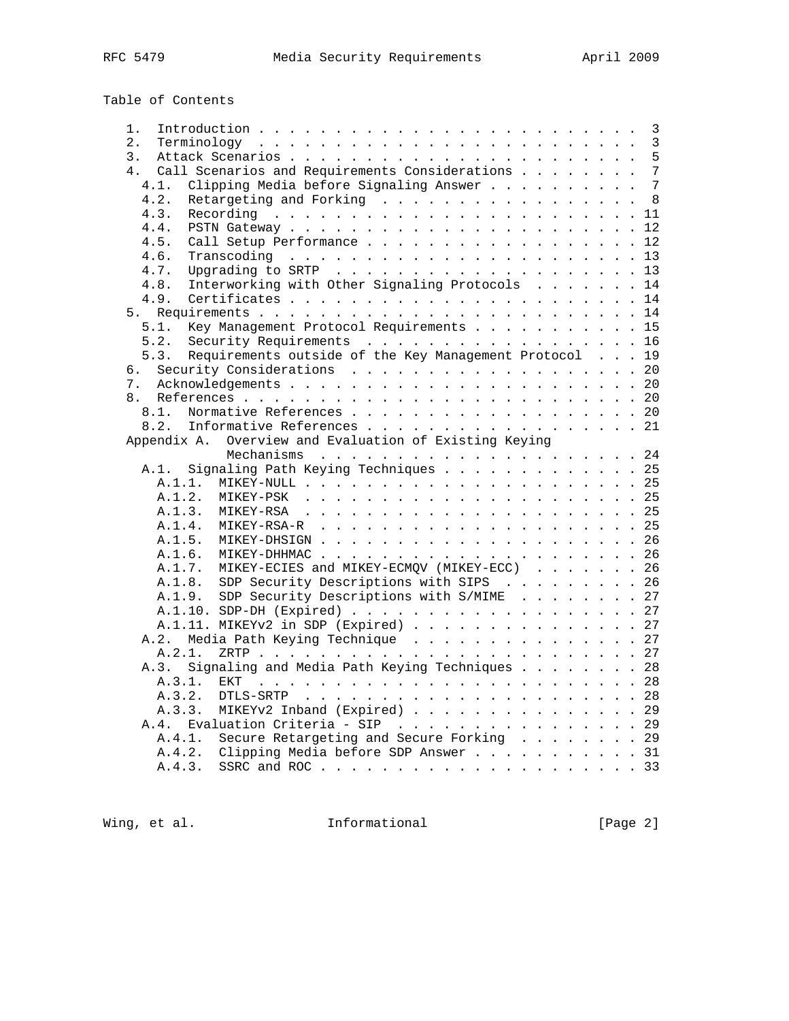| Table of Contents                                                  |  |
|--------------------------------------------------------------------|--|
| 1.                                                                 |  |
| 2.                                                                 |  |
| 3.                                                                 |  |
| Call Scenarios and Requirements Considerations 7<br>4 <sub>1</sub> |  |
| Clipping Media before Signaling Answer 7<br>4.1.                   |  |
| 4.2.<br>Retargeting and Forking 8                                  |  |
|                                                                    |  |
| 4.3.                                                               |  |
| 4.4.                                                               |  |
| Call Setup Performance 12<br>4.5.                                  |  |
| 4.6.                                                               |  |
| 4.7.                                                               |  |
| Interworking with Other Signaling Protocols 14<br>4.8.             |  |
| 4.9.                                                               |  |
|                                                                    |  |
| Key Management Protocol Requirements 15<br>5.1.                    |  |
| Security Requirements 16<br>5.2.                                   |  |
| Requirements outside of the Key Management Protocol 19<br>5.3.     |  |
| Security Considerations 20<br>б.                                   |  |
| 7.                                                                 |  |
| 8.                                                                 |  |
|                                                                    |  |
| Normative References 20<br>8.1.                                    |  |
| 8.2.<br>Informative References 21                                  |  |
| Overview and Evaluation of Existing Keying<br>Appendix A.          |  |
|                                                                    |  |
| Signaling Path Keying Techniques 25<br>A.1.                        |  |
|                                                                    |  |
| A.1.2.                                                             |  |
| A.1.3.                                                             |  |
| A.1.4.                                                             |  |
| A.1.5.                                                             |  |
| A.1.6.                                                             |  |
| MIKEY-ECIES and MIKEY-ECMQV (MIKEY-ECC) 26<br>A.1.7.               |  |
| SDP Security Descriptions with SIPS 26<br>A.1.8.                   |  |
|                                                                    |  |
| SDP Security Descriptions with S/MIME 27<br>A.1.9.                 |  |
|                                                                    |  |
| A.1.11. MIKEYv2 in SDP (Expired) 27                                |  |
| Media Path Keying Technique 27<br>A.2.                             |  |
| A.2.1.                                                             |  |
| Signaling and Media Path Keying Techniques 28<br>A.3.              |  |
| A.3.1.<br><b>EKT</b>                                               |  |
| A.3.2.                                                             |  |
| MIKEYv2 Inband (Expired) 29<br>A.3.3.                              |  |
| Evaluation Criteria - SIP 29<br>A.4.                               |  |

Wing, et al. 1nformational 11 [Page 2]

A.4.1. Secure Retargeting and Secure Forking . . . . . . . . 29 A.4.2. Clipping Media before SDP Answer . . . . . . . . . . . 31 A.4.3. SSRC and ROC . . . . . . . . . . . . . . . . . . . . . 33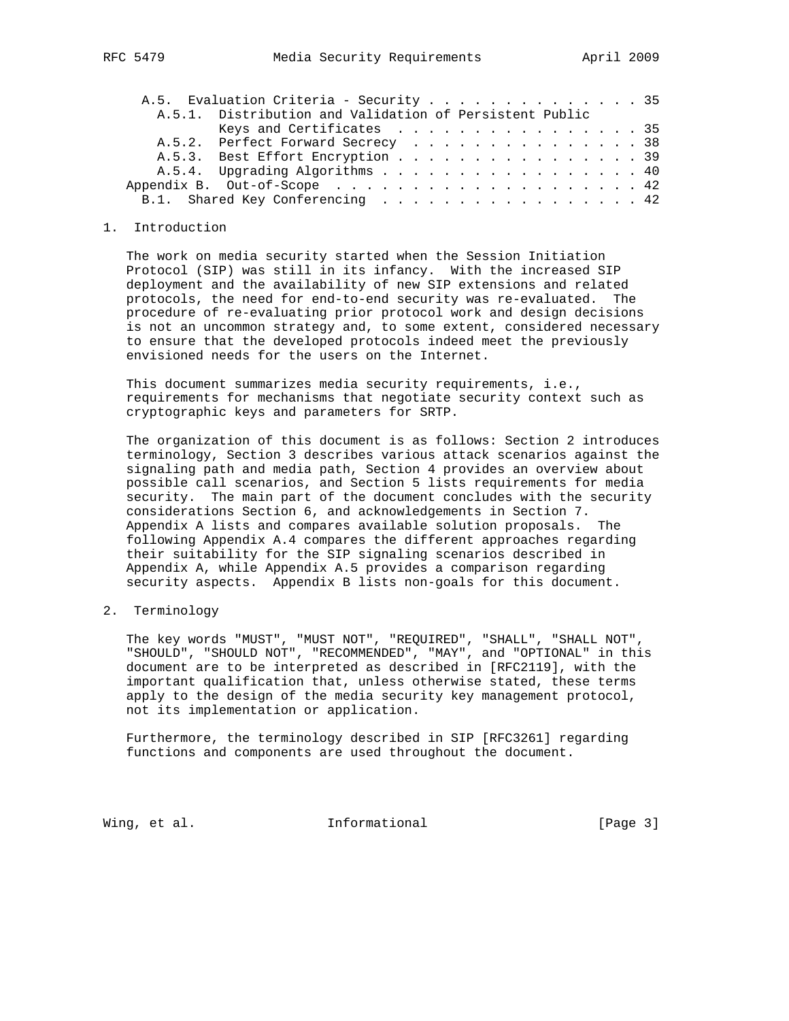|  | A.5. Evaluation Criteria - Security 35                  |  |  |
|--|---------------------------------------------------------|--|--|
|  | A.5.1. Distribution and Validation of Persistent Public |  |  |
|  | Keys and Certificates $\ldots$ 35                       |  |  |
|  | A.5.2. Perfect Forward Secrecy 38                       |  |  |
|  | A.5.3. Best Effort Encryption 39                        |  |  |
|  | A.5.4. Upgrading Algorithms 40                          |  |  |
|  | Appendix B. Out-of-Scope 42                             |  |  |
|  | B.1. Shared Key Conferencing 42                         |  |  |
|  |                                                         |  |  |

## 1. Introduction

 The work on media security started when the Session Initiation Protocol (SIP) was still in its infancy. With the increased SIP deployment and the availability of new SIP extensions and related protocols, the need for end-to-end security was re-evaluated. The procedure of re-evaluating prior protocol work and design decisions is not an uncommon strategy and, to some extent, considered necessary to ensure that the developed protocols indeed meet the previously envisioned needs for the users on the Internet.

 This document summarizes media security requirements, i.e., requirements for mechanisms that negotiate security context such as cryptographic keys and parameters for SRTP.

 The organization of this document is as follows: Section 2 introduces terminology, Section 3 describes various attack scenarios against the signaling path and media path, Section 4 provides an overview about possible call scenarios, and Section 5 lists requirements for media security. The main part of the document concludes with the security considerations Section 6, and acknowledgements in Section 7. Appendix A lists and compares available solution proposals. The following Appendix A.4 compares the different approaches regarding their suitability for the SIP signaling scenarios described in Appendix A, while Appendix A.5 provides a comparison regarding security aspects. Appendix B lists non-goals for this document.

## 2. Terminology

 The key words "MUST", "MUST NOT", "REQUIRED", "SHALL", "SHALL NOT", "SHOULD", "SHOULD NOT", "RECOMMENDED", "MAY", and "OPTIONAL" in this document are to be interpreted as described in [RFC2119], with the important qualification that, unless otherwise stated, these terms apply to the design of the media security key management protocol, not its implementation or application.

 Furthermore, the terminology described in SIP [RFC3261] regarding functions and components are used throughout the document.

Wing, et al. 10 Informational 100 [Page 3]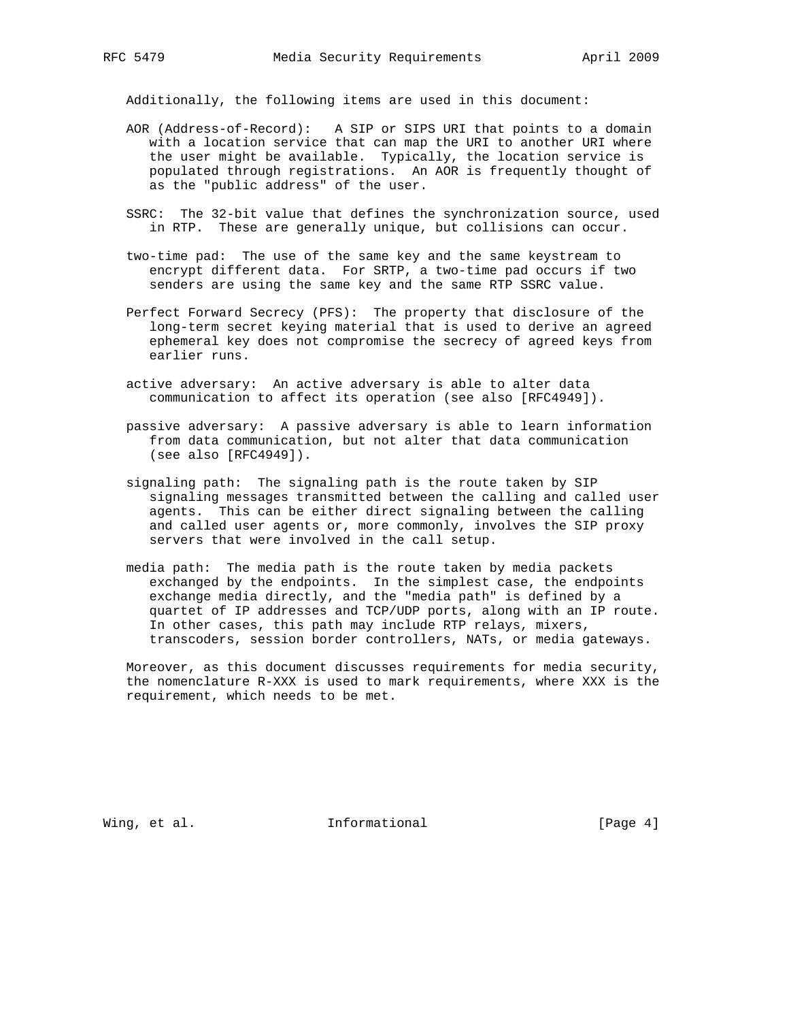Additionally, the following items are used in this document:

- AOR (Address-of-Record): A SIP or SIPS URI that points to a domain with a location service that can map the URI to another URI where the user might be available. Typically, the location service is populated through registrations. An AOR is frequently thought of as the "public address" of the user.
- SSRC: The 32-bit value that defines the synchronization source, used in RTP. These are generally unique, but collisions can occur.
- two-time pad: The use of the same key and the same keystream to encrypt different data. For SRTP, a two-time pad occurs if two senders are using the same key and the same RTP SSRC value.
- Perfect Forward Secrecy (PFS): The property that disclosure of the long-term secret keying material that is used to derive an agreed ephemeral key does not compromise the secrecy of agreed keys from earlier runs.
- active adversary: An active adversary is able to alter data communication to affect its operation (see also [RFC4949]).
- passive adversary: A passive adversary is able to learn information from data communication, but not alter that data communication (see also [RFC4949]).
- signaling path: The signaling path is the route taken by SIP signaling messages transmitted between the calling and called user agents. This can be either direct signaling between the calling and called user agents or, more commonly, involves the SIP proxy servers that were involved in the call setup.
- media path: The media path is the route taken by media packets exchanged by the endpoints. In the simplest case, the endpoints exchange media directly, and the "media path" is defined by a quartet of IP addresses and TCP/UDP ports, along with an IP route. In other cases, this path may include RTP relays, mixers, transcoders, session border controllers, NATs, or media gateways.

 Moreover, as this document discusses requirements for media security, the nomenclature R-XXX is used to mark requirements, where XXX is the requirement, which needs to be met.

Wing, et al. 10. Informational 1. [Page 4]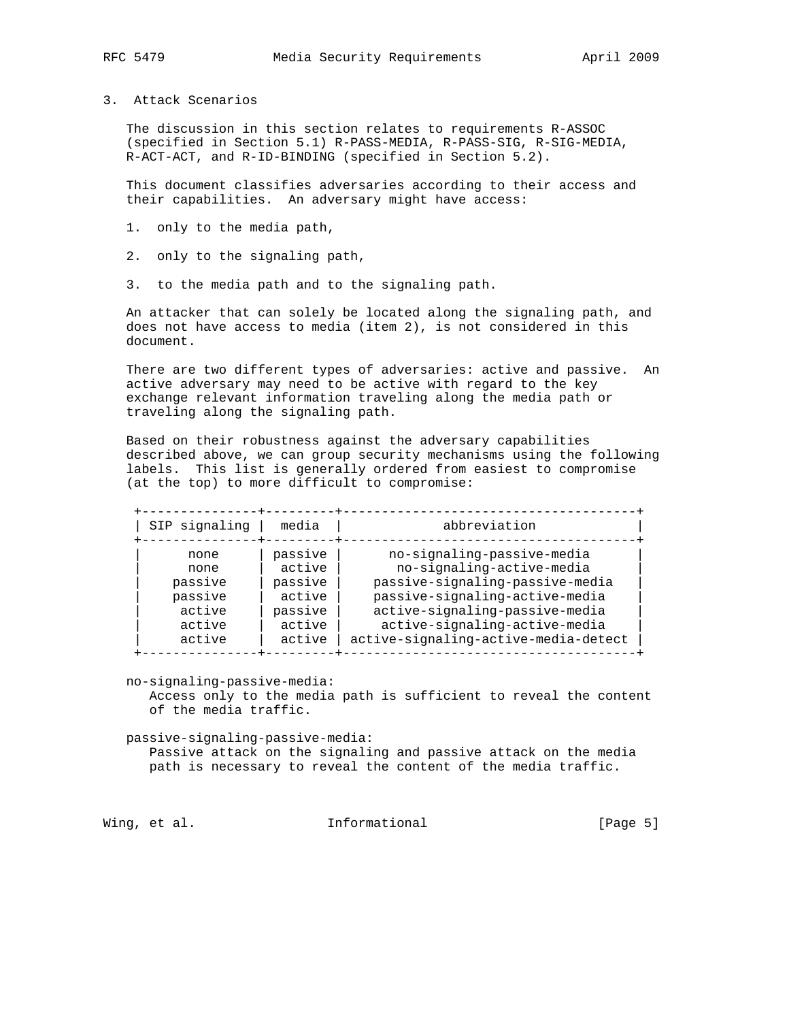- 
- 3. Attack Scenarios

 The discussion in this section relates to requirements R-ASSOC (specified in Section 5.1) R-PASS-MEDIA, R-PASS-SIG, R-SIG-MEDIA, R-ACT-ACT, and R-ID-BINDING (specified in Section 5.2).

 This document classifies adversaries according to their access and their capabilities. An adversary might have access:

- 1. only to the media path,
- 2. only to the signaling path,
- 3. to the media path and to the signaling path.

 An attacker that can solely be located along the signaling path, and does not have access to media (item 2), is not considered in this document.

 There are two different types of adversaries: active and passive. An active adversary may need to be active with regard to the key exchange relevant information traveling along the media path or traveling along the signaling path.

 Based on their robustness against the adversary capabilities described above, we can group security mechanisms using the following labels. This list is generally ordered from easiest to compromise (at the top) to more difficult to compromise:

| SIP signaling | media   | abbreviation                         |
|---------------|---------|--------------------------------------|
| none          | passive | no-signaling-passive-media           |
| none          | active  | no-signaling-active-media            |
| passive       | passive | passive-signaling-passive-media      |
| passive       | active  | passive-signaling-active-media       |
| active        | passive | active-signaling-passive-media       |
| active        | active  | active-signaling-active-media        |
| active        | active  | active-signaling-active-media-detect |

no-signaling-passive-media:

 Access only to the media path is sufficient to reveal the content of the media traffic.

passive-signaling-passive-media:

 Passive attack on the signaling and passive attack on the media path is necessary to reveal the content of the media traffic.

Wing, et al. 10. Informational 1. The leage 5]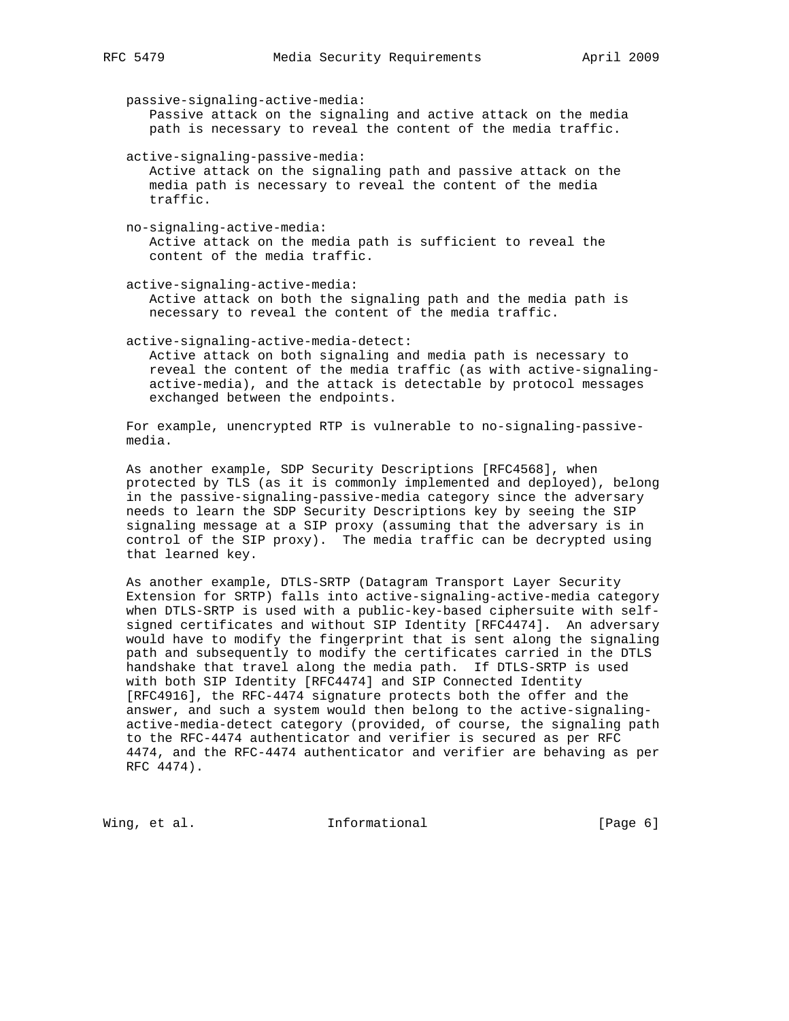passive-signaling-active-media: Passive attack on the signaling and active attack on the media path is necessary to reveal the content of the media traffic. active-signaling-passive-media: Active attack on the signaling path and passive attack on the media path is necessary to reveal the content of the media traffic.

 no-signaling-active-media: Active attack on the media path is sufficient to reveal the content of the media traffic.

 active-signaling-active-media: Active attack on both the signaling path and the media path is necessary to reveal the content of the media traffic.

active-signaling-active-media-detect:

 Active attack on both signaling and media path is necessary to reveal the content of the media traffic (as with active-signaling active-media), and the attack is detectable by protocol messages exchanged between the endpoints.

 For example, unencrypted RTP is vulnerable to no-signaling-passive media.

 As another example, SDP Security Descriptions [RFC4568], when protected by TLS (as it is commonly implemented and deployed), belong in the passive-signaling-passive-media category since the adversary needs to learn the SDP Security Descriptions key by seeing the SIP signaling message at a SIP proxy (assuming that the adversary is in control of the SIP proxy). The media traffic can be decrypted using that learned key.

 As another example, DTLS-SRTP (Datagram Transport Layer Security Extension for SRTP) falls into active-signaling-active-media category when DTLS-SRTP is used with a public-key-based ciphersuite with self signed certificates and without SIP Identity [RFC4474]. An adversary would have to modify the fingerprint that is sent along the signaling path and subsequently to modify the certificates carried in the DTLS handshake that travel along the media path. If DTLS-SRTP is used with both SIP Identity [RFC4474] and SIP Connected Identity [RFC4916], the RFC-4474 signature protects both the offer and the answer, and such a system would then belong to the active-signaling active-media-detect category (provided, of course, the signaling path to the RFC-4474 authenticator and verifier is secured as per RFC 4474, and the RFC-4474 authenticator and verifier are behaving as per RFC 4474).

Wing, et al. 10 Informational 100 [Page 6]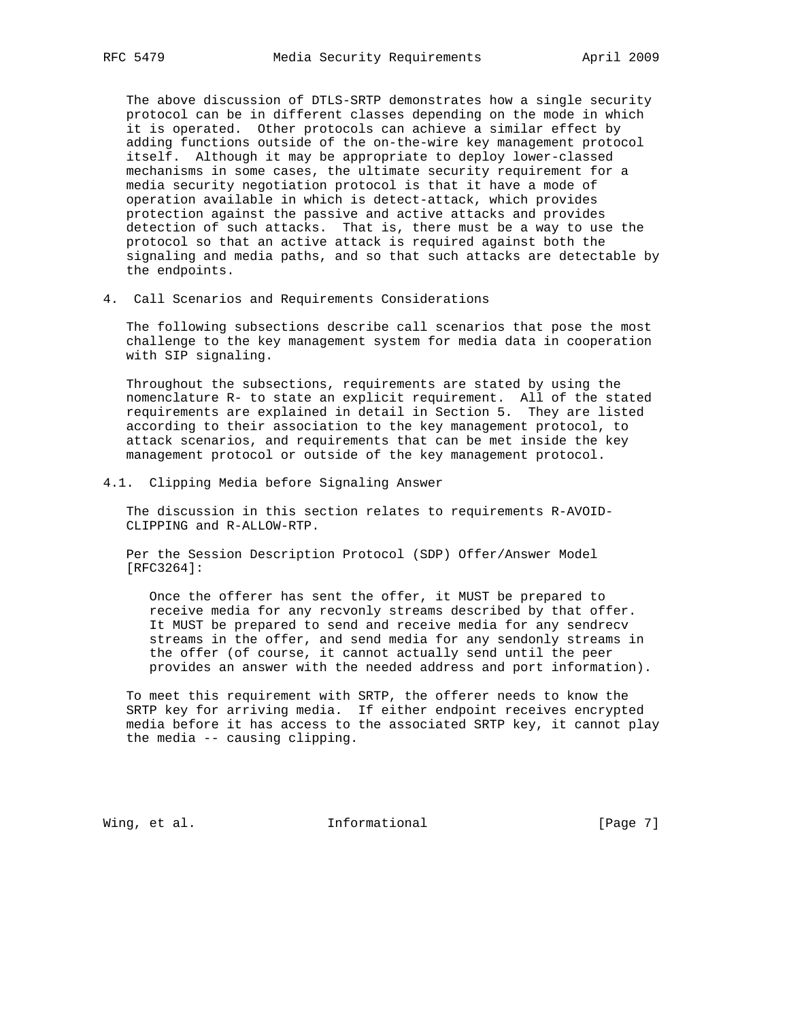The above discussion of DTLS-SRTP demonstrates how a single security protocol can be in different classes depending on the mode in which it is operated. Other protocols can achieve a similar effect by adding functions outside of the on-the-wire key management protocol itself. Although it may be appropriate to deploy lower-classed mechanisms in some cases, the ultimate security requirement for a media security negotiation protocol is that it have a mode of operation available in which is detect-attack, which provides protection against the passive and active attacks and provides detection of such attacks. That is, there must be a way to use the protocol so that an active attack is required against both the signaling and media paths, and so that such attacks are detectable by the endpoints.

4. Call Scenarios and Requirements Considerations

 The following subsections describe call scenarios that pose the most challenge to the key management system for media data in cooperation with SIP signaling.

 Throughout the subsections, requirements are stated by using the nomenclature R- to state an explicit requirement. All of the stated requirements are explained in detail in Section 5. They are listed according to their association to the key management protocol, to attack scenarios, and requirements that can be met inside the key management protocol or outside of the key management protocol.

## 4.1. Clipping Media before Signaling Answer

 The discussion in this section relates to requirements R-AVOID- CLIPPING and R-ALLOW-RTP.

 Per the Session Description Protocol (SDP) Offer/Answer Model [RFC3264]:

 Once the offerer has sent the offer, it MUST be prepared to receive media for any recvonly streams described by that offer. It MUST be prepared to send and receive media for any sendrecv streams in the offer, and send media for any sendonly streams in the offer (of course, it cannot actually send until the peer provides an answer with the needed address and port information).

 To meet this requirement with SRTP, the offerer needs to know the SRTP key for arriving media. If either endpoint receives encrypted media before it has access to the associated SRTP key, it cannot play the media -- causing clipping.

Wing, et al. 10. Informational 1. [Page 7]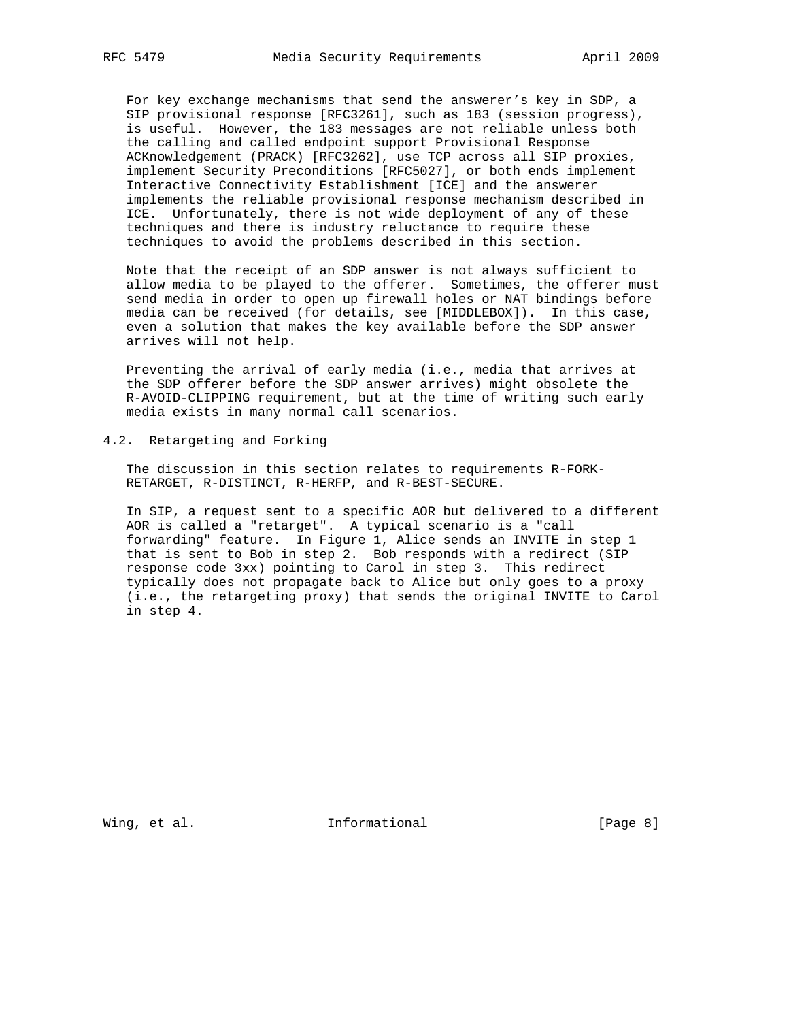For key exchange mechanisms that send the answerer's key in SDP, a SIP provisional response [RFC3261], such as 183 (session progress), is useful. However, the 183 messages are not reliable unless both the calling and called endpoint support Provisional Response ACKnowledgement (PRACK) [RFC3262], use TCP across all SIP proxies, implement Security Preconditions [RFC5027], or both ends implement Interactive Connectivity Establishment [ICE] and the answerer implements the reliable provisional response mechanism described in ICE. Unfortunately, there is not wide deployment of any of these techniques and there is industry reluctance to require these techniques to avoid the problems described in this section.

 Note that the receipt of an SDP answer is not always sufficient to allow media to be played to the offerer. Sometimes, the offerer must send media in order to open up firewall holes or NAT bindings before media can be received (for details, see [MIDDLEBOX]). In this case, even a solution that makes the key available before the SDP answer arrives will not help.

 Preventing the arrival of early media (i.e., media that arrives at the SDP offerer before the SDP answer arrives) might obsolete the R-AVOID-CLIPPING requirement, but at the time of writing such early media exists in many normal call scenarios.

4.2. Retargeting and Forking

 The discussion in this section relates to requirements R-FORK- RETARGET, R-DISTINCT, R-HERFP, and R-BEST-SECURE.

 In SIP, a request sent to a specific AOR but delivered to a different AOR is called a "retarget". A typical scenario is a "call forwarding" feature. In Figure 1, Alice sends an INVITE in step 1 that is sent to Bob in step 2. Bob responds with a redirect (SIP response code 3xx) pointing to Carol in step 3. This redirect typically does not propagate back to Alice but only goes to a proxy (i.e., the retargeting proxy) that sends the original INVITE to Carol in step 4.

Wing, et al. 10. Informational 1. [Page 8]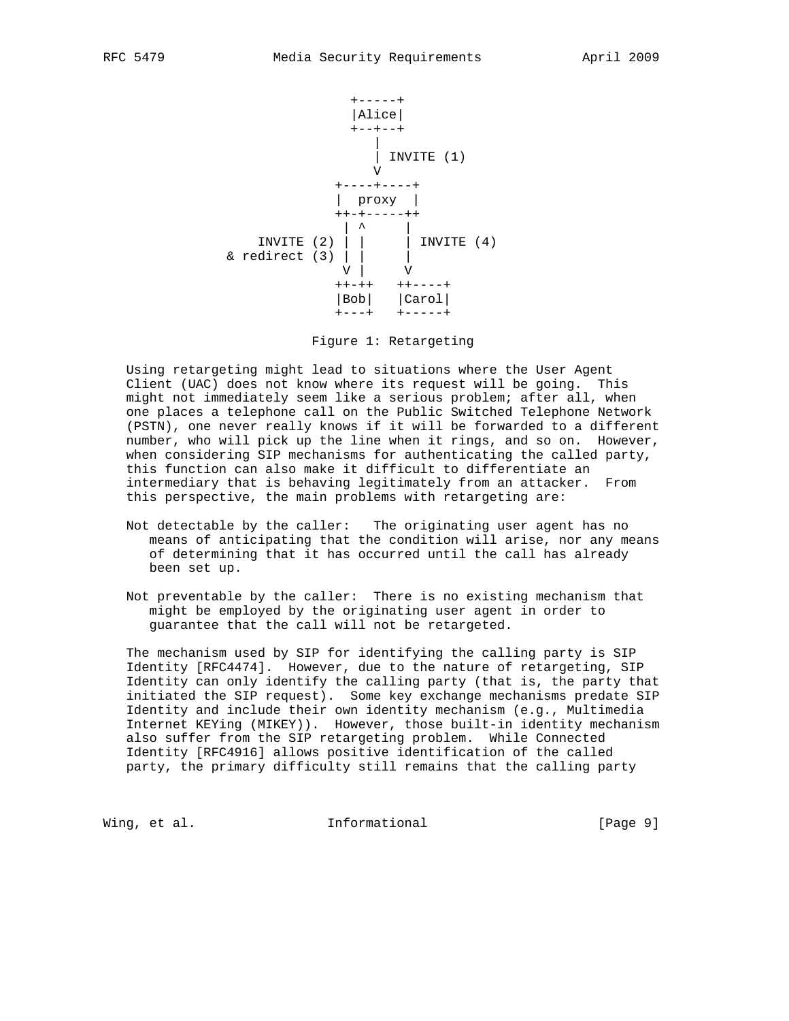

Figure 1: Retargeting

 Using retargeting might lead to situations where the User Agent Client (UAC) does not know where its request will be going. This might not immediately seem like a serious problem; after all, when one places a telephone call on the Public Switched Telephone Network (PSTN), one never really knows if it will be forwarded to a different number, who will pick up the line when it rings, and so on. However, when considering SIP mechanisms for authenticating the called party, this function can also make it difficult to differentiate an intermediary that is behaving legitimately from an attacker. From this perspective, the main problems with retargeting are:

- Not detectable by the caller: The originating user agent has no means of anticipating that the condition will arise, nor any means of determining that it has occurred until the call has already been set up.
- Not preventable by the caller: There is no existing mechanism that might be employed by the originating user agent in order to guarantee that the call will not be retargeted.

 The mechanism used by SIP for identifying the calling party is SIP Identity [RFC4474]. However, due to the nature of retargeting, SIP Identity can only identify the calling party (that is, the party that initiated the SIP request). Some key exchange mechanisms predate SIP Identity and include their own identity mechanism (e.g., Multimedia Internet KEYing (MIKEY)). However, those built-in identity mechanism also suffer from the SIP retargeting problem. While Connected Identity [RFC4916] allows positive identification of the called party, the primary difficulty still remains that the calling party

Wing, et al. **Informational Example 1** [Page 9]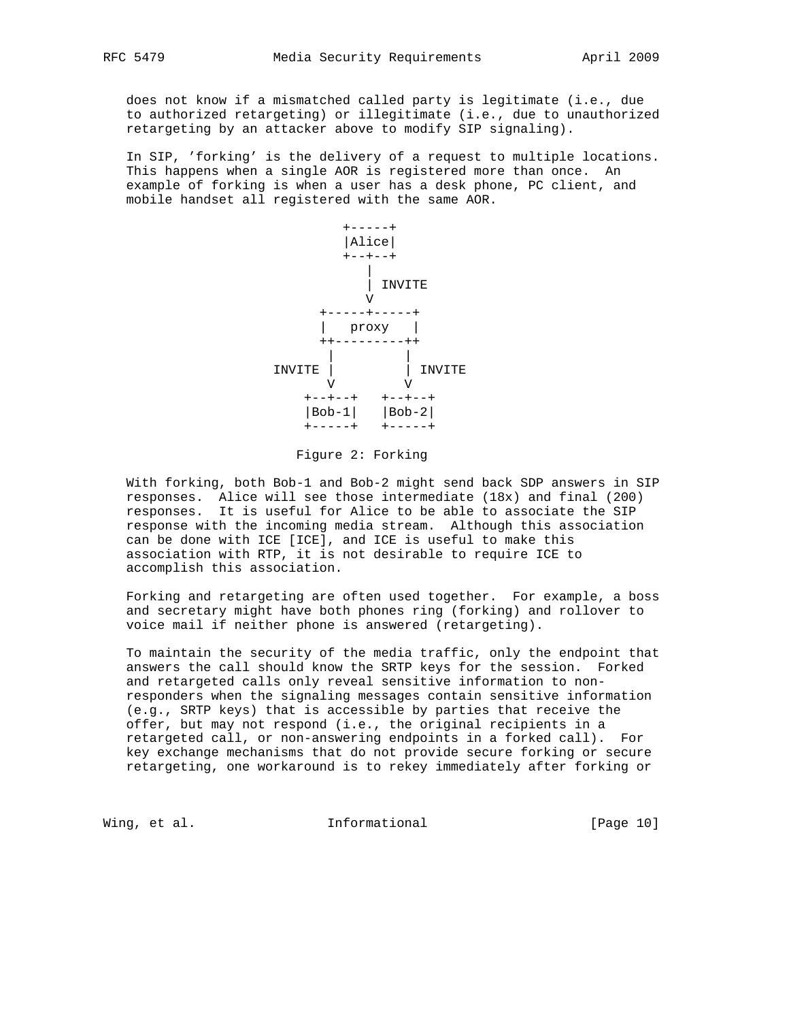does not know if a mismatched called party is legitimate (i.e., due to authorized retargeting) or illegitimate (i.e., due to unauthorized retargeting by an attacker above to modify SIP signaling).

 In SIP, 'forking' is the delivery of a request to multiple locations. This happens when a single AOR is registered more than once. An example of forking is when a user has a desk phone, PC client, and mobile handset all registered with the same AOR.



Figure 2: Forking

 With forking, both Bob-1 and Bob-2 might send back SDP answers in SIP responses. Alice will see those intermediate (18x) and final (200) responses. It is useful for Alice to be able to associate the SIP response with the incoming media stream. Although this association can be done with ICE [ICE], and ICE is useful to make this association with RTP, it is not desirable to require ICE to accomplish this association.

 Forking and retargeting are often used together. For example, a boss and secretary might have both phones ring (forking) and rollover to voice mail if neither phone is answered (retargeting).

 To maintain the security of the media traffic, only the endpoint that answers the call should know the SRTP keys for the session. Forked and retargeted calls only reveal sensitive information to non responders when the signaling messages contain sensitive information (e.g., SRTP keys) that is accessible by parties that receive the offer, but may not respond (i.e., the original recipients in a retargeted call, or non-answering endpoints in a forked call). For key exchange mechanisms that do not provide secure forking or secure retargeting, one workaround is to rekey immediately after forking or

Wing, et al. 10 1nformational 11 [Page 10]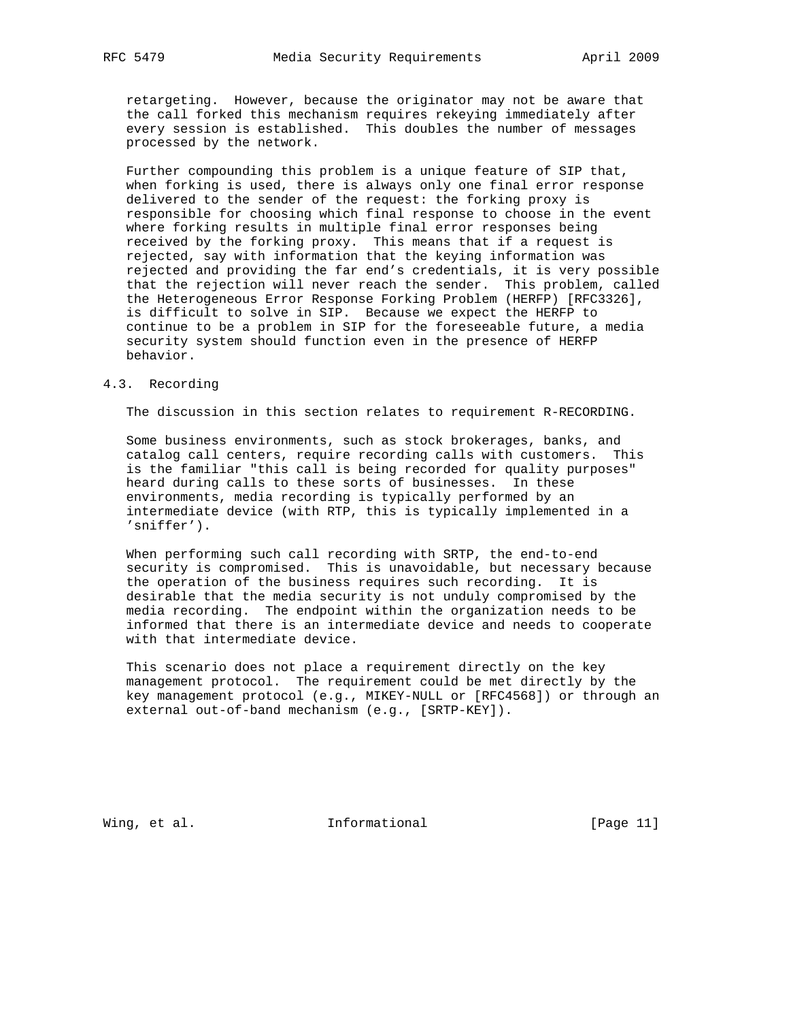retargeting. However, because the originator may not be aware that the call forked this mechanism requires rekeying immediately after every session is established. This doubles the number of messages processed by the network.

 Further compounding this problem is a unique feature of SIP that, when forking is used, there is always only one final error response delivered to the sender of the request: the forking proxy is responsible for choosing which final response to choose in the event where forking results in multiple final error responses being received by the forking proxy. This means that if a request is rejected, say with information that the keying information was rejected and providing the far end's credentials, it is very possible that the rejection will never reach the sender. This problem, called the Heterogeneous Error Response Forking Problem (HERFP) [RFC3326], is difficult to solve in SIP. Because we expect the HERFP to continue to be a problem in SIP for the foreseeable future, a media security system should function even in the presence of HERFP behavior.

## 4.3. Recording

The discussion in this section relates to requirement R-RECORDING.

 Some business environments, such as stock brokerages, banks, and catalog call centers, require recording calls with customers. This is the familiar "this call is being recorded for quality purposes" heard during calls to these sorts of businesses. In these environments, media recording is typically performed by an intermediate device (with RTP, this is typically implemented in a 'sniffer').

 When performing such call recording with SRTP, the end-to-end security is compromised. This is unavoidable, but necessary because the operation of the business requires such recording. It is desirable that the media security is not unduly compromised by the media recording. The endpoint within the organization needs to be informed that there is an intermediate device and needs to cooperate with that intermediate device.

 This scenario does not place a requirement directly on the key management protocol. The requirement could be met directly by the key management protocol (e.g., MIKEY-NULL or [RFC4568]) or through an external out-of-band mechanism (e.g., [SRTP-KEY]).

Wing, et al. 10. Informational 1. [Page 11]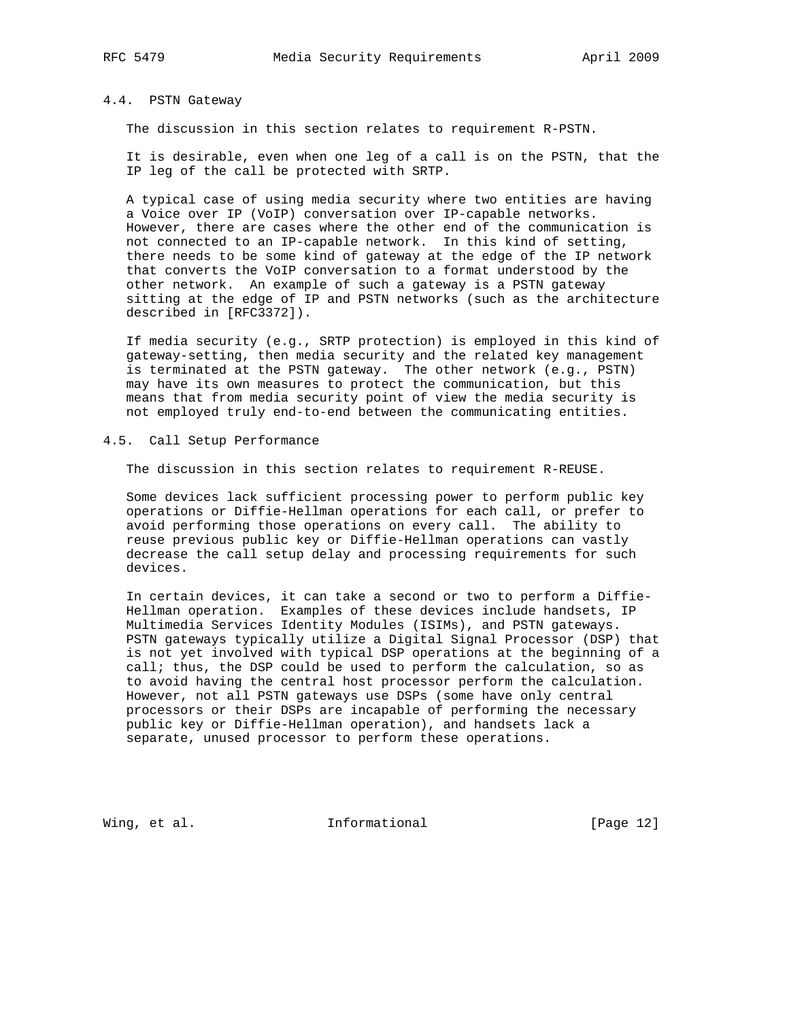# 4.4. PSTN Gateway

The discussion in this section relates to requirement R-PSTN.

 It is desirable, even when one leg of a call is on the PSTN, that the IP leg of the call be protected with SRTP.

 A typical case of using media security where two entities are having a Voice over IP (VoIP) conversation over IP-capable networks. However, there are cases where the other end of the communication is not connected to an IP-capable network. In this kind of setting, there needs to be some kind of gateway at the edge of the IP network that converts the VoIP conversation to a format understood by the other network. An example of such a gateway is a PSTN gateway sitting at the edge of IP and PSTN networks (such as the architecture described in [RFC3372]).

 If media security (e.g., SRTP protection) is employed in this kind of gateway-setting, then media security and the related key management is terminated at the PSTN gateway. The other network (e.g., PSTN) may have its own measures to protect the communication, but this means that from media security point of view the media security is not employed truly end-to-end between the communicating entities.

#### 4.5. Call Setup Performance

The discussion in this section relates to requirement R-REUSE.

 Some devices lack sufficient processing power to perform public key operations or Diffie-Hellman operations for each call, or prefer to avoid performing those operations on every call. The ability to reuse previous public key or Diffie-Hellman operations can vastly decrease the call setup delay and processing requirements for such devices.

 In certain devices, it can take a second or two to perform a Diffie- Hellman operation. Examples of these devices include handsets, IP Multimedia Services Identity Modules (ISIMs), and PSTN gateways. PSTN gateways typically utilize a Digital Signal Processor (DSP) that is not yet involved with typical DSP operations at the beginning of a call; thus, the DSP could be used to perform the calculation, so as to avoid having the central host processor perform the calculation. However, not all PSTN gateways use DSPs (some have only central processors or their DSPs are incapable of performing the necessary public key or Diffie-Hellman operation), and handsets lack a separate, unused processor to perform these operations.

Wing, et al. 10 Informational 10 [Page 12]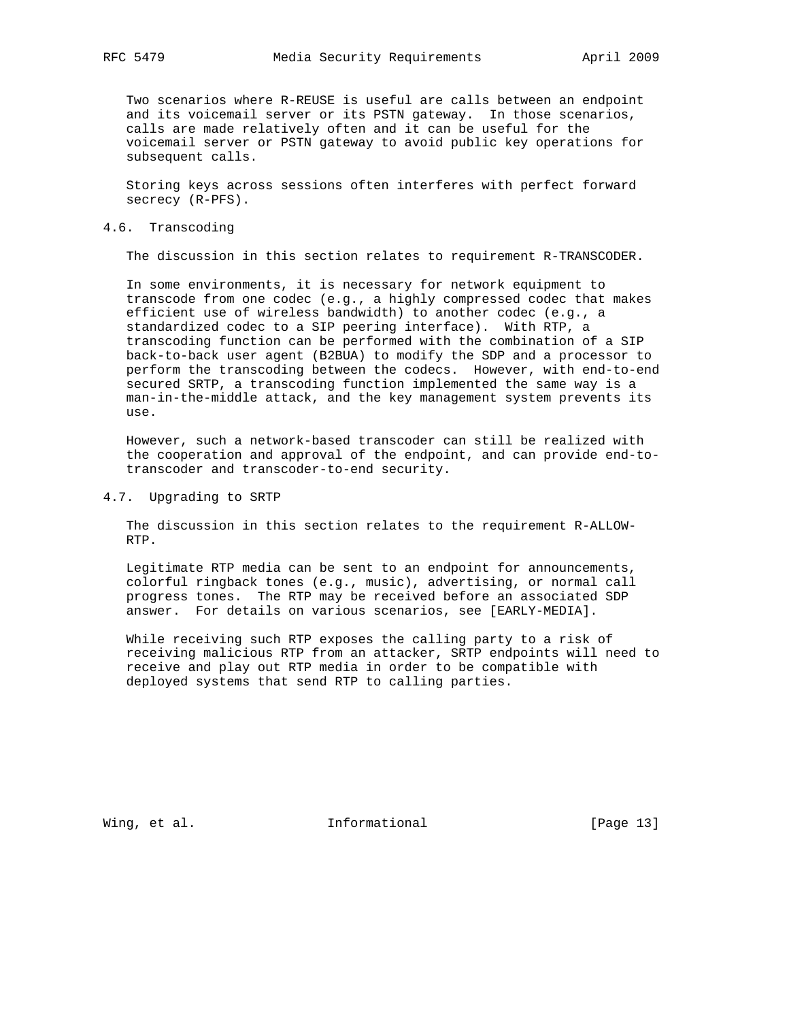Two scenarios where R-REUSE is useful are calls between an endpoint and its voicemail server or its PSTN gateway. In those scenarios, calls are made relatively often and it can be useful for the voicemail server or PSTN gateway to avoid public key operations for subsequent calls.

 Storing keys across sessions often interferes with perfect forward secrecy (R-PFS).

#### 4.6. Transcoding

The discussion in this section relates to requirement R-TRANSCODER.

 In some environments, it is necessary for network equipment to transcode from one codec (e.g., a highly compressed codec that makes efficient use of wireless bandwidth) to another codec (e.g., a standardized codec to a SIP peering interface). With RTP, a transcoding function can be performed with the combination of a SIP back-to-back user agent (B2BUA) to modify the SDP and a processor to perform the transcoding between the codecs. However, with end-to-end secured SRTP, a transcoding function implemented the same way is a man-in-the-middle attack, and the key management system prevents its use.

 However, such a network-based transcoder can still be realized with the cooperation and approval of the endpoint, and can provide end-to transcoder and transcoder-to-end security.

#### 4.7. Upgrading to SRTP

 The discussion in this section relates to the requirement R-ALLOW- RTP.

 Legitimate RTP media can be sent to an endpoint for announcements, colorful ringback tones (e.g., music), advertising, or normal call progress tones. The RTP may be received before an associated SDP answer. For details on various scenarios, see [EARLY-MEDIA].

 While receiving such RTP exposes the calling party to a risk of receiving malicious RTP from an attacker, SRTP endpoints will need to receive and play out RTP media in order to be compatible with deployed systems that send RTP to calling parties.

Wing, et al. 10. Informational 1. [Page 13]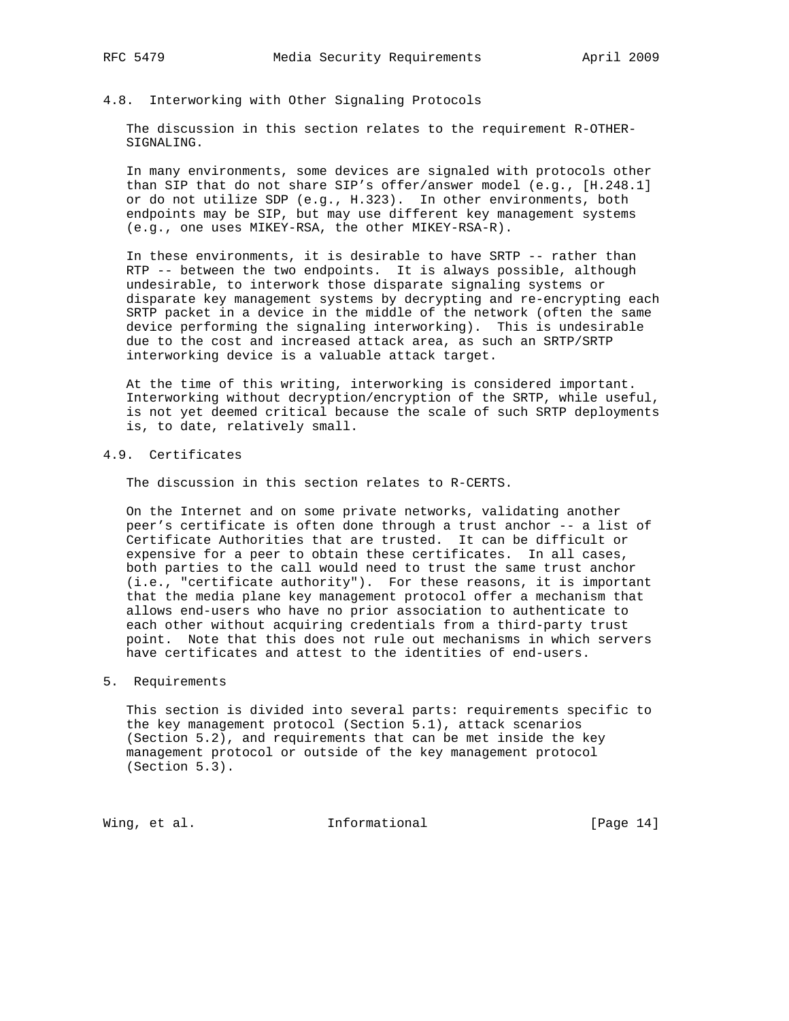## 4.8. Interworking with Other Signaling Protocols

 The discussion in this section relates to the requirement R-OTHER- SIGNALING.

 In many environments, some devices are signaled with protocols other than SIP that do not share SIP's offer/answer model (e.g., [H.248.1] or do not utilize SDP (e.g., H.323). In other environments, both endpoints may be SIP, but may use different key management systems (e.g., one uses MIKEY-RSA, the other MIKEY-RSA-R).

 In these environments, it is desirable to have SRTP -- rather than RTP -- between the two endpoints. It is always possible, although undesirable, to interwork those disparate signaling systems or disparate key management systems by decrypting and re-encrypting each SRTP packet in a device in the middle of the network (often the same device performing the signaling interworking). This is undesirable due to the cost and increased attack area, as such an SRTP/SRTP interworking device is a valuable attack target.

 At the time of this writing, interworking is considered important. Interworking without decryption/encryption of the SRTP, while useful, is not yet deemed critical because the scale of such SRTP deployments is, to date, relatively small.

## 4.9. Certificates

The discussion in this section relates to R-CERTS.

 On the Internet and on some private networks, validating another peer's certificate is often done through a trust anchor -- a list of Certificate Authorities that are trusted. It can be difficult or expensive for a peer to obtain these certificates. In all cases, both parties to the call would need to trust the same trust anchor (i.e., "certificate authority"). For these reasons, it is important that the media plane key management protocol offer a mechanism that allows end-users who have no prior association to authenticate to each other without acquiring credentials from a third-party trust point. Note that this does not rule out mechanisms in which servers have certificates and attest to the identities of end-users.

## 5. Requirements

 This section is divided into several parts: requirements specific to the key management protocol (Section 5.1), attack scenarios (Section 5.2), and requirements that can be met inside the key management protocol or outside of the key management protocol (Section 5.3).

Wing, et al. 10. Informational 1. [Page 14]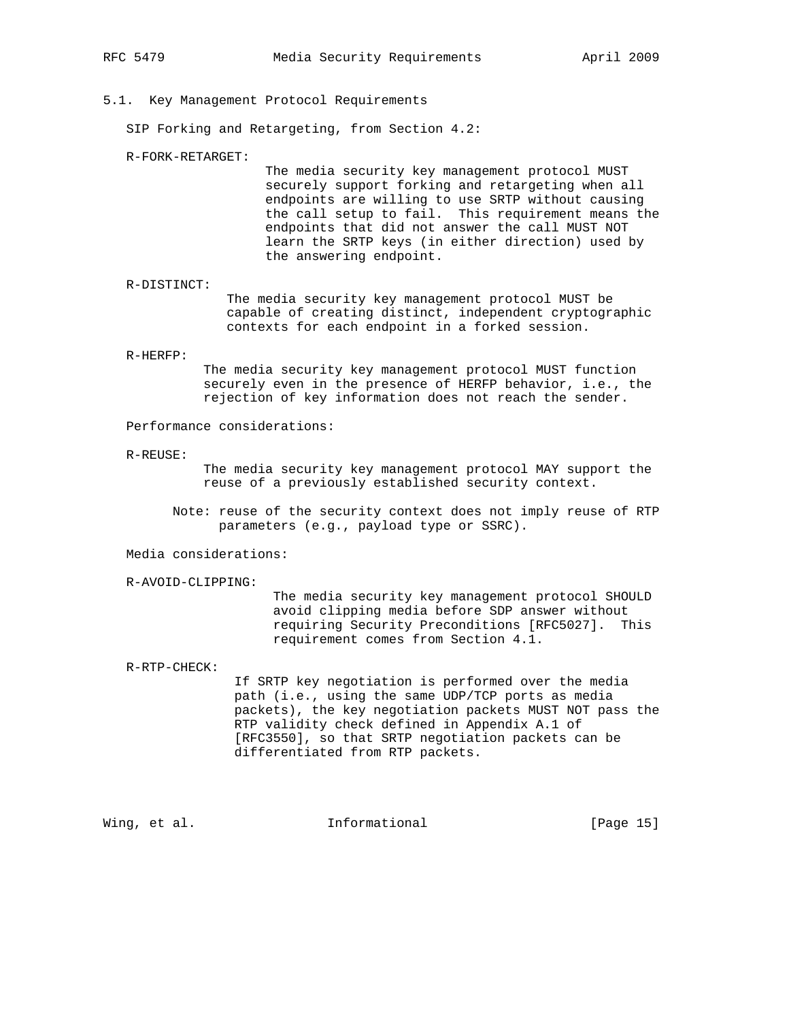## 5.1. Key Management Protocol Requirements

SIP Forking and Retargeting, from Section 4.2:

R-FORK-RETARGET:

 The media security key management protocol MUST securely support forking and retargeting when all endpoints are willing to use SRTP without causing the call setup to fail. This requirement means the endpoints that did not answer the call MUST NOT learn the SRTP keys (in either direction) used by the answering endpoint.

 R-DISTINCT: The media security key management protocol MUST be capable of creating distinct, independent cryptographic contexts for each endpoint in a forked session.

R-HERFP:

 The media security key management protocol MUST function securely even in the presence of HERFP behavior, i.e., the rejection of key information does not reach the sender.

Performance considerations:

R-REUSE:

 The media security key management protocol MAY support the reuse of a previously established security context.

 Note: reuse of the security context does not imply reuse of RTP parameters (e.g., payload type or SSRC).

Media considerations:

R-AVOID-CLIPPING:

 The media security key management protocol SHOULD avoid clipping media before SDP answer without requiring Security Preconditions [RFC5027]. This requirement comes from Section 4.1.

R-RTP-CHECK:

 If SRTP key negotiation is performed over the media path (i.e., using the same UDP/TCP ports as media packets), the key negotiation packets MUST NOT pass the RTP validity check defined in Appendix A.1 of [RFC3550], so that SRTP negotiation packets can be differentiated from RTP packets.

Wing, et al. **Informational** [Page 15]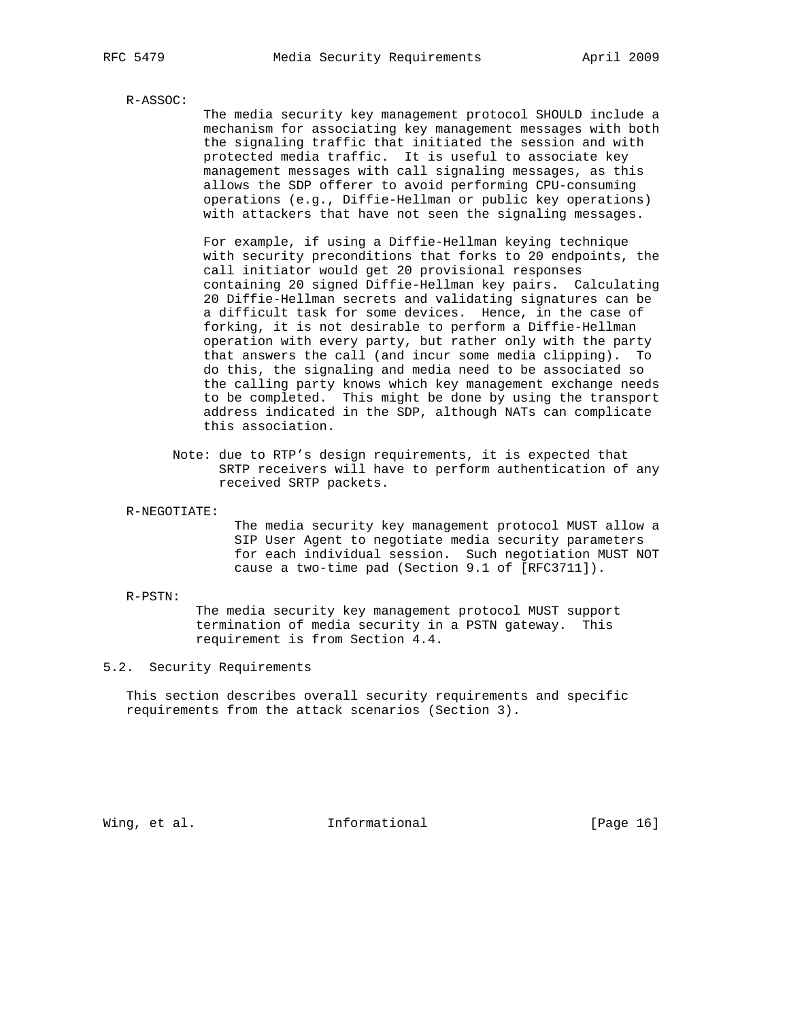#### R-ASSOC:

 The media security key management protocol SHOULD include a mechanism for associating key management messages with both the signaling traffic that initiated the session and with protected media traffic. It is useful to associate key management messages with call signaling messages, as this allows the SDP offerer to avoid performing CPU-consuming operations (e.g., Diffie-Hellman or public key operations) with attackers that have not seen the signaling messages.

 For example, if using a Diffie-Hellman keying technique with security preconditions that forks to 20 endpoints, the call initiator would get 20 provisional responses containing 20 signed Diffie-Hellman key pairs. Calculating 20 Diffie-Hellman secrets and validating signatures can be a difficult task for some devices. Hence, in the case of forking, it is not desirable to perform a Diffie-Hellman operation with every party, but rather only with the party that answers the call (and incur some media clipping). To do this, the signaling and media need to be associated so the calling party knows which key management exchange needs to be completed. This might be done by using the transport address indicated in the SDP, although NATs can complicate this association.

- Note: due to RTP's design requirements, it is expected that SRTP receivers will have to perform authentication of any received SRTP packets.
- R-NEGOTIATE:

 The media security key management protocol MUST allow a SIP User Agent to negotiate media security parameters for each individual session. Such negotiation MUST NOT cause a two-time pad (Section 9.1 of [RFC3711]).

R-PSTN:

 The media security key management protocol MUST support termination of media security in a PSTN gateway. This requirement is from Section 4.4.

## 5.2. Security Requirements

 This section describes overall security requirements and specific requirements from the attack scenarios (Section 3).

Wing, et al. 10. Informational 1. [Page 16]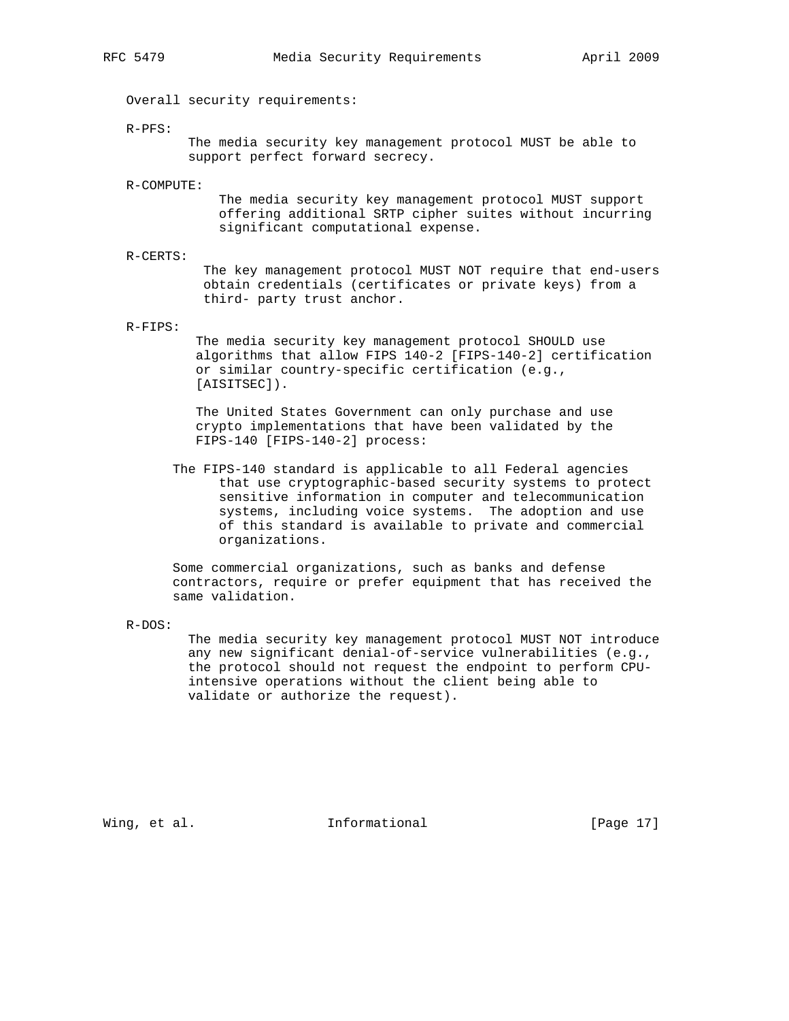Overall security requirements:

R-PFS:

 The media security key management protocol MUST be able to support perfect forward secrecy.

R-COMPUTE:

 The media security key management protocol MUST support offering additional SRTP cipher suites without incurring significant computational expense.

R-CERTS:

 The key management protocol MUST NOT require that end-users obtain credentials (certificates or private keys) from a third- party trust anchor.

R-FIPS:

 The media security key management protocol SHOULD use algorithms that allow FIPS 140-2 [FIPS-140-2] certification or similar country-specific certification (e.g., [AISITSEC]).

 The United States Government can only purchase and use crypto implementations that have been validated by the FIPS-140 [FIPS-140-2] process:

 The FIPS-140 standard is applicable to all Federal agencies that use cryptographic-based security systems to protect sensitive information in computer and telecommunication systems, including voice systems. The adoption and use of this standard is available to private and commercial organizations.

 Some commercial organizations, such as banks and defense contractors, require or prefer equipment that has received the same validation.

R-DOS:

 The media security key management protocol MUST NOT introduce any new significant denial-of-service vulnerabilities (e.g., the protocol should not request the endpoint to perform CPU intensive operations without the client being able to validate or authorize the request).

Wing, et al. 10. Informational 1. [Page 17]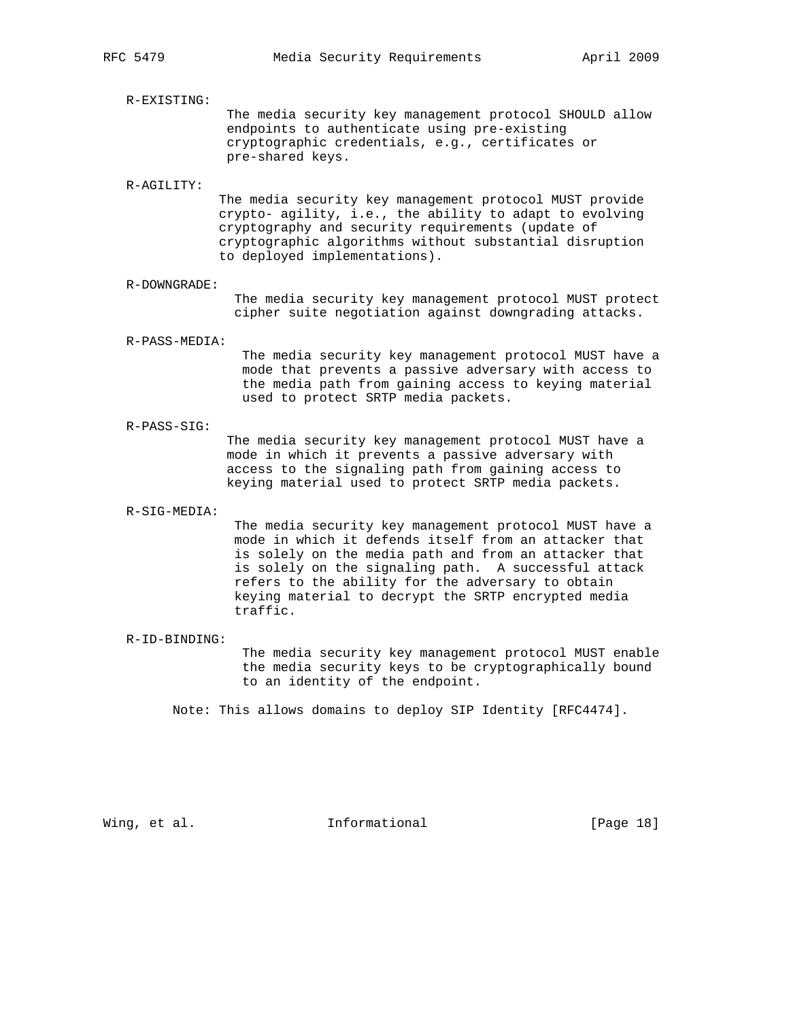R-EXISTING:

 The media security key management protocol SHOULD allow endpoints to authenticate using pre-existing cryptographic credentials, e.g., certificates or pre-shared keys.

#### R-AGILITY:

 The media security key management protocol MUST provide crypto- agility, i.e., the ability to adapt to evolving cryptography and security requirements (update of cryptographic algorithms without substantial disruption to deployed implementations).

#### R-DOWNGRADE:

 The media security key management protocol MUST protect cipher suite negotiation against downgrading attacks.

#### R-PASS-MEDIA:

 The media security key management protocol MUST have a mode that prevents a passive adversary with access to the media path from gaining access to keying material used to protect SRTP media packets.

#### R-PASS-SIG:

 The media security key management protocol MUST have a mode in which it prevents a passive adversary with access to the signaling path from gaining access to keying material used to protect SRTP media packets.

#### R-SIG-MEDIA:

 The media security key management protocol MUST have a mode in which it defends itself from an attacker that is solely on the media path and from an attacker that is solely on the signaling path. A successful attack refers to the ability for the adversary to obtain keying material to decrypt the SRTP encrypted media traffic.

#### R-ID-BINDING:

 The media security key management protocol MUST enable the media security keys to be cryptographically bound to an identity of the endpoint.

Note: This allows domains to deploy SIP Identity [RFC4474].

Wing, et al. 10. Informational 1. [Page 18]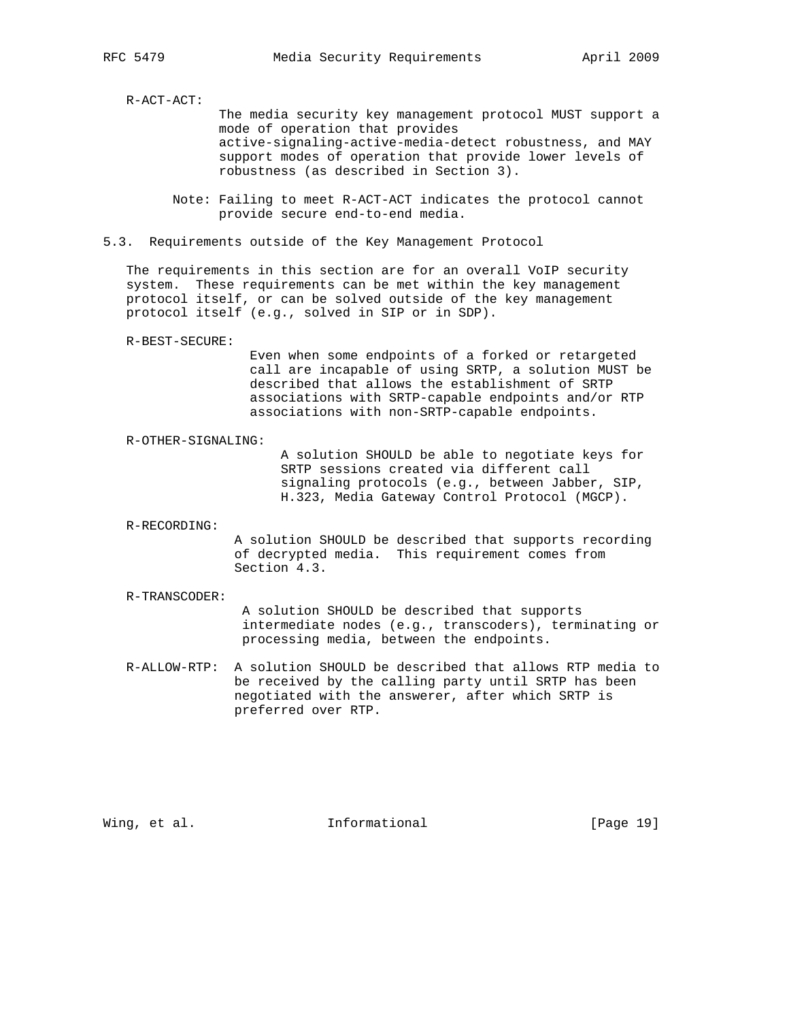R-ACT-ACT:

 The media security key management protocol MUST support a mode of operation that provides active-signaling-active-media-detect robustness, and MAY support modes of operation that provide lower levels of robustness (as described in Section 3).

 Note: Failing to meet R-ACT-ACT indicates the protocol cannot provide secure end-to-end media.

5.3. Requirements outside of the Key Management Protocol

 The requirements in this section are for an overall VoIP security system. These requirements can be met within the key management protocol itself, or can be solved outside of the key management protocol itself (e.g., solved in SIP or in SDP).

R-BEST-SECURE:

 Even when some endpoints of a forked or retargeted call are incapable of using SRTP, a solution MUST be described that allows the establishment of SRTP associations with SRTP-capable endpoints and/or RTP associations with non-SRTP-capable endpoints.

R-OTHER-SIGNALING:

 A solution SHOULD be able to negotiate keys for SRTP sessions created via different call signaling protocols (e.g., between Jabber, SIP, H.323, Media Gateway Control Protocol (MGCP).

R-RECORDING:

 A solution SHOULD be described that supports recording of decrypted media. This requirement comes from Section 4.3.

R-TRANSCODER:

 A solution SHOULD be described that supports intermediate nodes (e.g., transcoders), terminating or processing media, between the endpoints.

 R-ALLOW-RTP: A solution SHOULD be described that allows RTP media to be received by the calling party until SRTP has been negotiated with the answerer, after which SRTP is preferred over RTP.

Wing, et al. 10. Informational 1. [Page 19]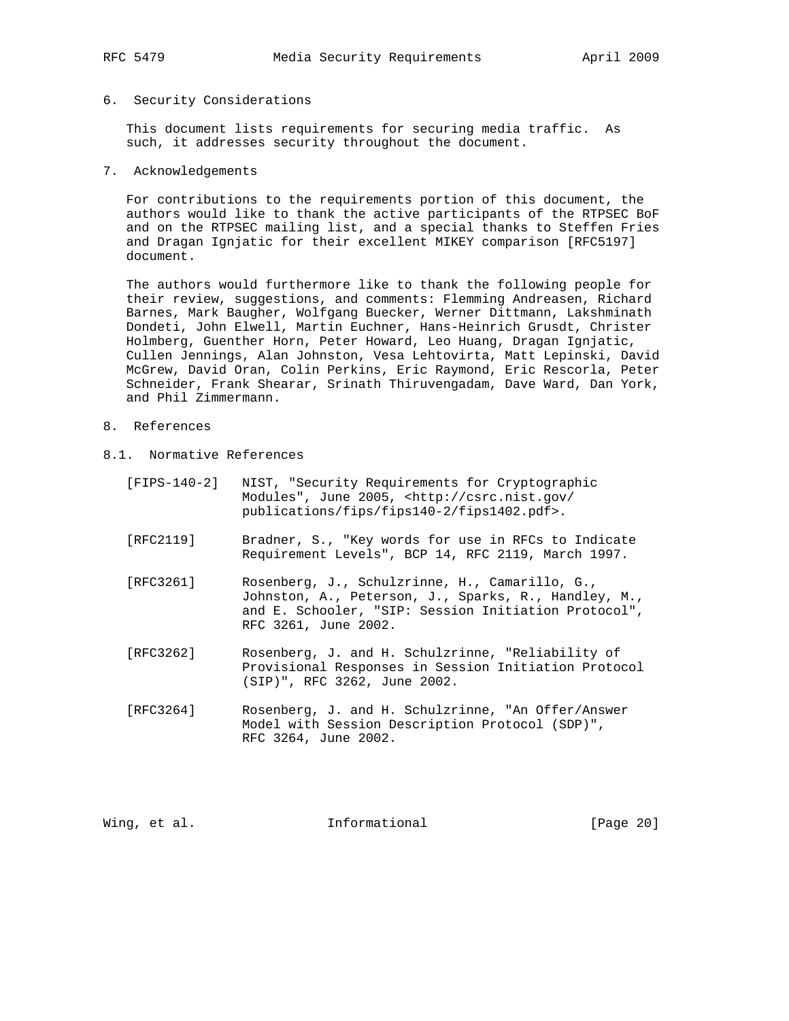## 6. Security Considerations

 This document lists requirements for securing media traffic. As such, it addresses security throughout the document.

7. Acknowledgements

 For contributions to the requirements portion of this document, the authors would like to thank the active participants of the RTPSEC BoF and on the RTPSEC mailing list, and a special thanks to Steffen Fries and Dragan Ignjatic for their excellent MIKEY comparison [RFC5197] document.

 The authors would furthermore like to thank the following people for their review, suggestions, and comments: Flemming Andreasen, Richard Barnes, Mark Baugher, Wolfgang Buecker, Werner Dittmann, Lakshminath Dondeti, John Elwell, Martin Euchner, Hans-Heinrich Grusdt, Christer Holmberg, Guenther Horn, Peter Howard, Leo Huang, Dragan Ignjatic, Cullen Jennings, Alan Johnston, Vesa Lehtovirta, Matt Lepinski, David McGrew, David Oran, Colin Perkins, Eric Raymond, Eric Rescorla, Peter Schneider, Frank Shearar, Srinath Thiruvengadam, Dave Ward, Dan York, and Phil Zimmermann.

- 8. References
- 8.1. Normative References
	- [FIPS-140-2] NIST, "Security Requirements for Cryptographic Modules", June 2005, <http://csrc.nist.gov/ publications/fips/fips140-2/fips1402.pdf>.
	- [RFC2119] Bradner, S., "Key words for use in RFCs to Indicate Requirement Levels", BCP 14, RFC 2119, March 1997.
	- [RFC3261] Rosenberg, J., Schulzrinne, H., Camarillo, G., Johnston, A., Peterson, J., Sparks, R., Handley, M., and E. Schooler, "SIP: Session Initiation Protocol", RFC 3261, June 2002.
	- [RFC3262] Rosenberg, J. and H. Schulzrinne, "Reliability of Provisional Responses in Session Initiation Protocol (SIP)", RFC 3262, June 2002.
	- [RFC3264] Rosenberg, J. and H. Schulzrinne, "An Offer/Answer Model with Session Description Protocol (SDP)", RFC 3264, June 2002.

Wing, et al. **Informational** [Page 20]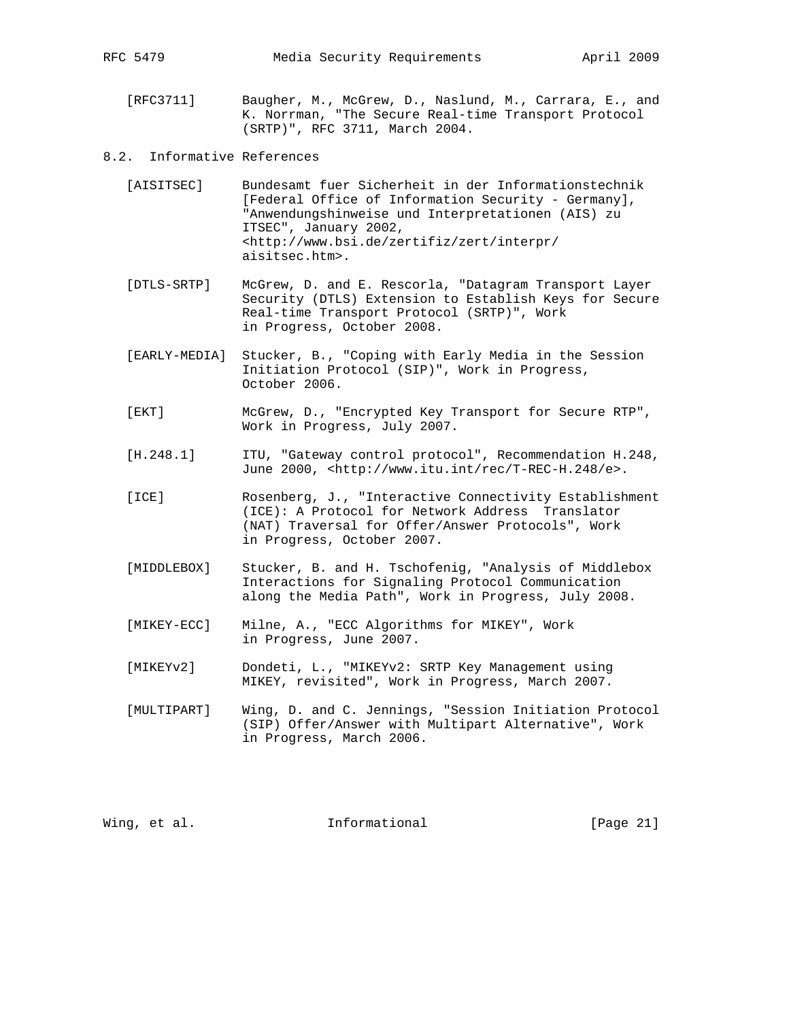- [RFC3711] Baugher, M., McGrew, D., Naslund, M., Carrara, E., and K. Norrman, "The Secure Real-time Transport Protocol (SRTP)", RFC 3711, March 2004.
- 8.2. Informative References
	- [AISITSEC] Bundesamt fuer Sicherheit in der Informationstechnik [Federal Office of Information Security - Germany], "Anwendungshinweise und Interpretationen (AIS) zu ITSEC", January 2002, <http://www.bsi.de/zertifiz/zert/interpr/ aisitsec.htm>.
	- [DTLS-SRTP] McGrew, D. and E. Rescorla, "Datagram Transport Layer Security (DTLS) Extension to Establish Keys for Secure Real-time Transport Protocol (SRTP)", Work in Progress, October 2008.
	- [EARLY-MEDIA] Stucker, B., "Coping with Early Media in the Session Initiation Protocol (SIP)", Work in Progress, October 2006.
	- [EKT] McGrew, D., "Encrypted Key Transport for Secure RTP", Work in Progress, July 2007.
	- [H.248.1] ITU, "Gateway control protocol", Recommendation H.248, June 2000, <http://www.itu.int/rec/T-REC-H.248/e>.
	- [ICE] Rosenberg, J., "Interactive Connectivity Establishment (ICE): A Protocol for Network Address Translator (NAT) Traversal for Offer/Answer Protocols", Work in Progress, October 2007.
	- [MIDDLEBOX] Stucker, B. and H. Tschofenig, "Analysis of Middlebox Interactions for Signaling Protocol Communication along the Media Path", Work in Progress, July 2008.
	- [MIKEY-ECC] Milne, A., "ECC Algorithms for MIKEY", Work in Progress, June 2007.
	- [MIKEYv2] Dondeti, L., "MIKEYv2: SRTP Key Management using MIKEY, revisited", Work in Progress, March 2007.
	- [MULTIPART] Wing, D. and C. Jennings, "Session Initiation Protocol (SIP) Offer/Answer with Multipart Alternative", Work in Progress, March 2006.

Wing, et al. **Informational** [Page 21]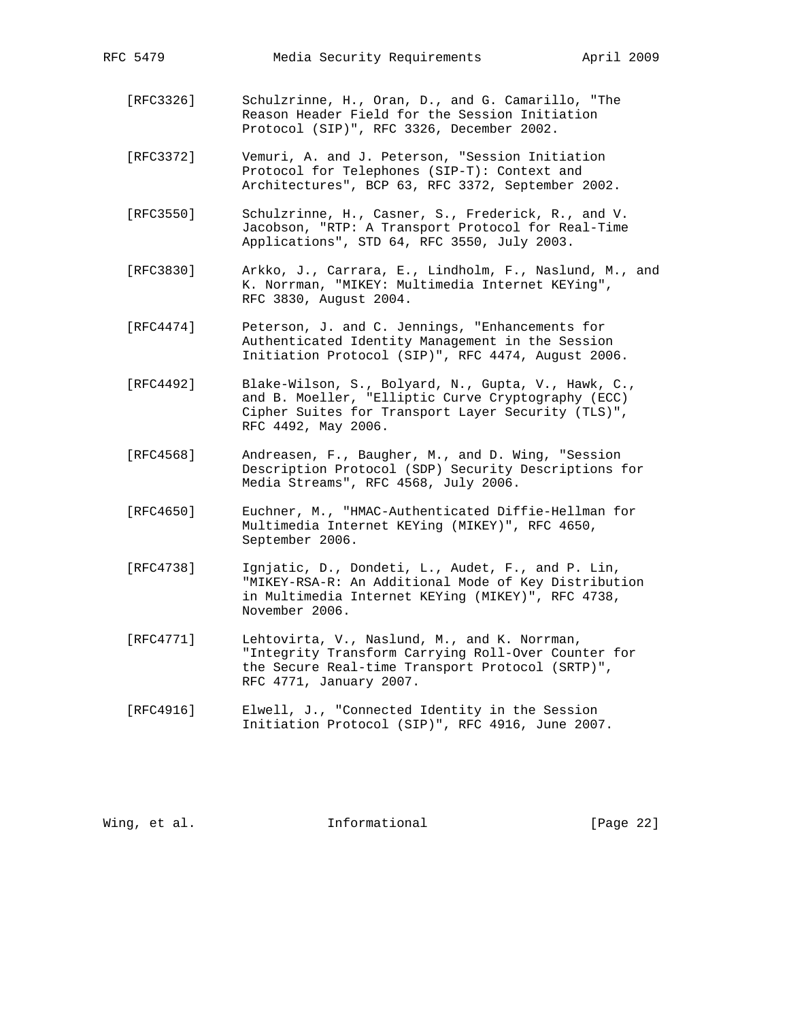- [RFC3326] Schulzrinne, H., Oran, D., and G. Camarillo, "The Reason Header Field for the Session Initiation Protocol (SIP)", RFC 3326, December 2002.
- [RFC3372] Vemuri, A. and J. Peterson, "Session Initiation Protocol for Telephones (SIP-T): Context and Architectures", BCP 63, RFC 3372, September 2002.
- [RFC3550] Schulzrinne, H., Casner, S., Frederick, R., and V. Jacobson, "RTP: A Transport Protocol for Real-Time Applications", STD 64, RFC 3550, July 2003.
- [RFC3830] Arkko, J., Carrara, E., Lindholm, F., Naslund, M., and K. Norrman, "MIKEY: Multimedia Internet KEYing", RFC 3830, August 2004.
- [RFC4474] Peterson, J. and C. Jennings, "Enhancements for Authenticated Identity Management in the Session Initiation Protocol (SIP)", RFC 4474, August 2006.
- [RFC4492] Blake-Wilson, S., Bolyard, N., Gupta, V., Hawk, C., and B. Moeller, "Elliptic Curve Cryptography (ECC) Cipher Suites for Transport Layer Security (TLS)", RFC 4492, May 2006.
- [RFC4568] Andreasen, F., Baugher, M., and D. Wing, "Session Description Protocol (SDP) Security Descriptions for Media Streams", RFC 4568, July 2006.
- [RFC4650] Euchner, M., "HMAC-Authenticated Diffie-Hellman for Multimedia Internet KEYing (MIKEY)", RFC 4650, September 2006.
- [RFC4738] Ignjatic, D., Dondeti, L., Audet, F., and P. Lin, "MIKEY-RSA-R: An Additional Mode of Key Distribution in Multimedia Internet KEYing (MIKEY)", RFC 4738, November 2006.
- [RFC4771] Lehtovirta, V., Naslund, M., and K. Norrman, "Integrity Transform Carrying Roll-Over Counter for the Secure Real-time Transport Protocol (SRTP)", RFC 4771, January 2007.
- [RFC4916] Elwell, J., "Connected Identity in the Session Initiation Protocol (SIP)", RFC 4916, June 2007.

Wing, et al. 10. Informational 1. [Page 22]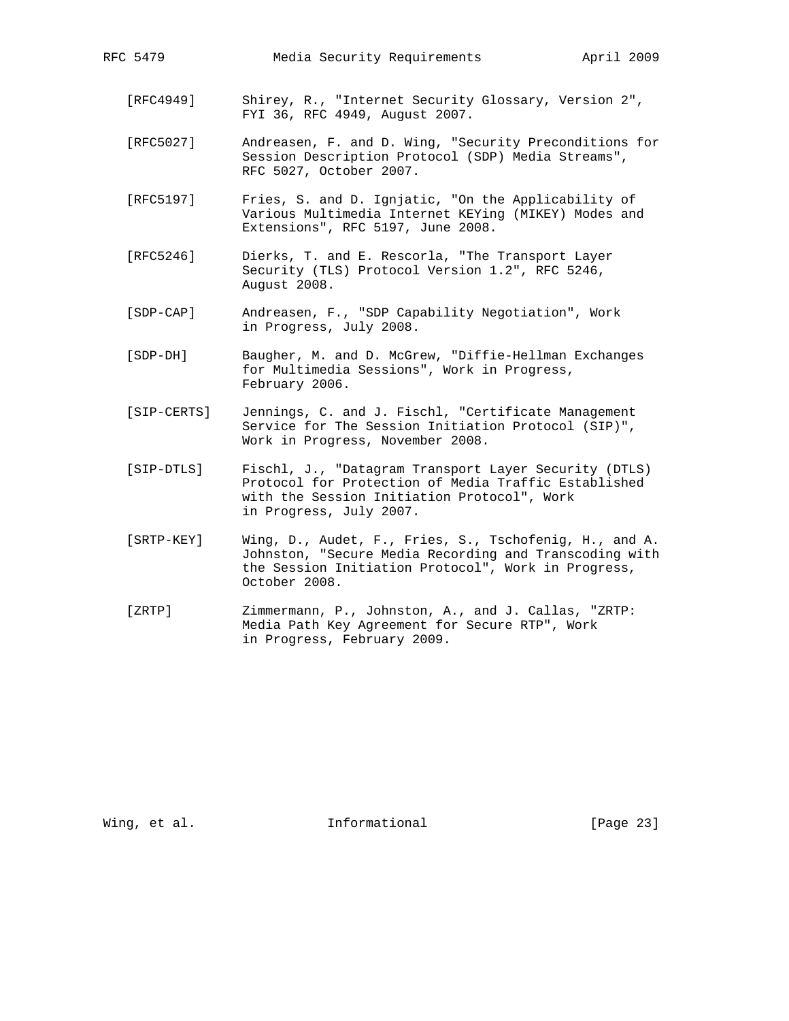- [RFC4949] Shirey, R., "Internet Security Glossary, Version 2", FYI 36, RFC 4949, August 2007.
- [RFC5027] Andreasen, F. and D. Wing, "Security Preconditions for Session Description Protocol (SDP) Media Streams", RFC 5027, October 2007.
- [RFC5197] Fries, S. and D. Ignjatic, "On the Applicability of Various Multimedia Internet KEYing (MIKEY) Modes and Extensions", RFC 5197, June 2008.
- [RFC5246] Dierks, T. and E. Rescorla, "The Transport Layer Security (TLS) Protocol Version 1.2", RFC 5246, August 2008.
- [SDP-CAP] Andreasen, F., "SDP Capability Negotiation", Work in Progress, July 2008.
- [SDP-DH] Baugher, M. and D. McGrew, "Diffie-Hellman Exchanges for Multimedia Sessions", Work in Progress, February 2006.
- [SIP-CERTS] Jennings, C. and J. Fischl, "Certificate Management Service for The Session Initiation Protocol (SIP)", Work in Progress, November 2008.
- [SIP-DTLS] Fischl, J., "Datagram Transport Layer Security (DTLS) Protocol for Protection of Media Traffic Established with the Session Initiation Protocol", Work in Progress, July 2007.
- [SRTP-KEY] Wing, D., Audet, F., Fries, S., Tschofenig, H., and A. Johnston, "Secure Media Recording and Transcoding with the Session Initiation Protocol", Work in Progress, October 2008.
- [ZRTP] Zimmermann, P., Johnston, A., and J. Callas, "ZRTP: Media Path Key Agreement for Secure RTP", Work in Progress, February 2009.

Wing, et al. 10 Informational 100 [Page 23]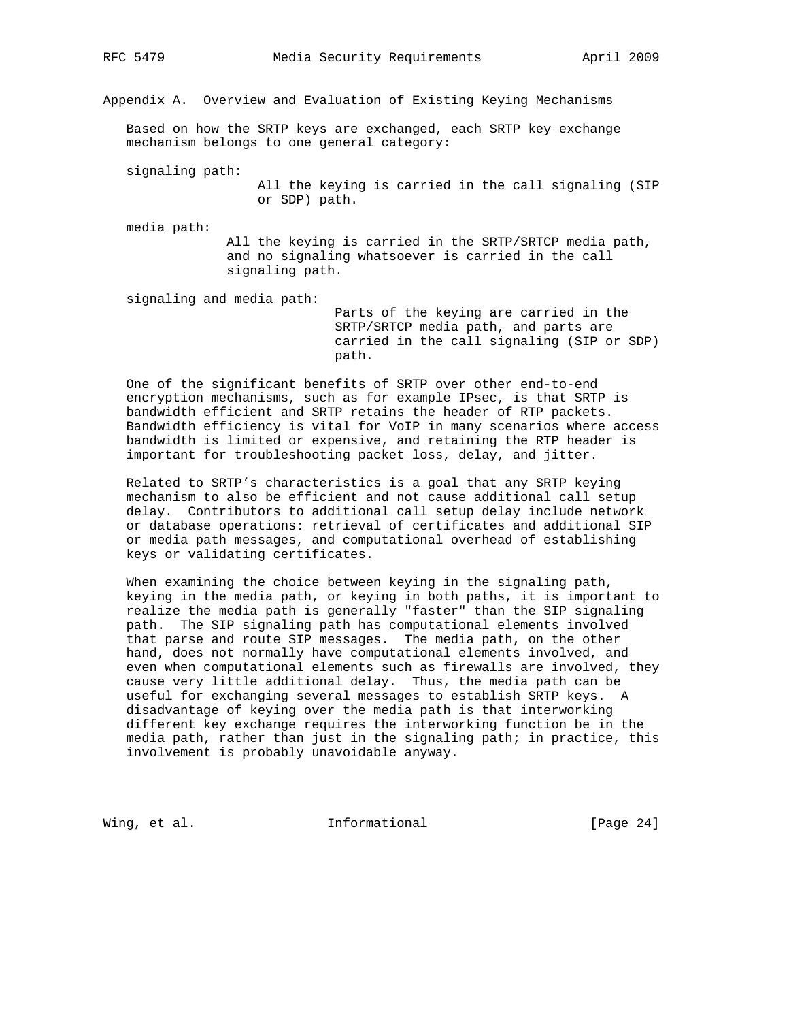Appendix A. Overview and Evaluation of Existing Keying Mechanisms

 Based on how the SRTP keys are exchanged, each SRTP key exchange mechanism belongs to one general category:

signaling path:

 All the keying is carried in the call signaling (SIP or SDP) path.

media path:

 All the keying is carried in the SRTP/SRTCP media path, and no signaling whatsoever is carried in the call signaling path.

signaling and media path:

 Parts of the keying are carried in the SRTP/SRTCP media path, and parts are carried in the call signaling (SIP or SDP) path.

 One of the significant benefits of SRTP over other end-to-end encryption mechanisms, such as for example IPsec, is that SRTP is bandwidth efficient and SRTP retains the header of RTP packets. Bandwidth efficiency is vital for VoIP in many scenarios where access bandwidth is limited or expensive, and retaining the RTP header is important for troubleshooting packet loss, delay, and jitter.

 Related to SRTP's characteristics is a goal that any SRTP keying mechanism to also be efficient and not cause additional call setup delay. Contributors to additional call setup delay include network or database operations: retrieval of certificates and additional SIP or media path messages, and computational overhead of establishing keys or validating certificates.

 When examining the choice between keying in the signaling path, keying in the media path, or keying in both paths, it is important to realize the media path is generally "faster" than the SIP signaling path. The SIP signaling path has computational elements involved that parse and route SIP messages. The media path, on the other hand, does not normally have computational elements involved, and even when computational elements such as firewalls are involved, they cause very little additional delay. Thus, the media path can be useful for exchanging several messages to establish SRTP keys. A disadvantage of keying over the media path is that interworking different key exchange requires the interworking function be in the media path, rather than just in the signaling path; in practice, this involvement is probably unavoidable anyway.

Wing, et al. 10 Informational 100 [Page 24]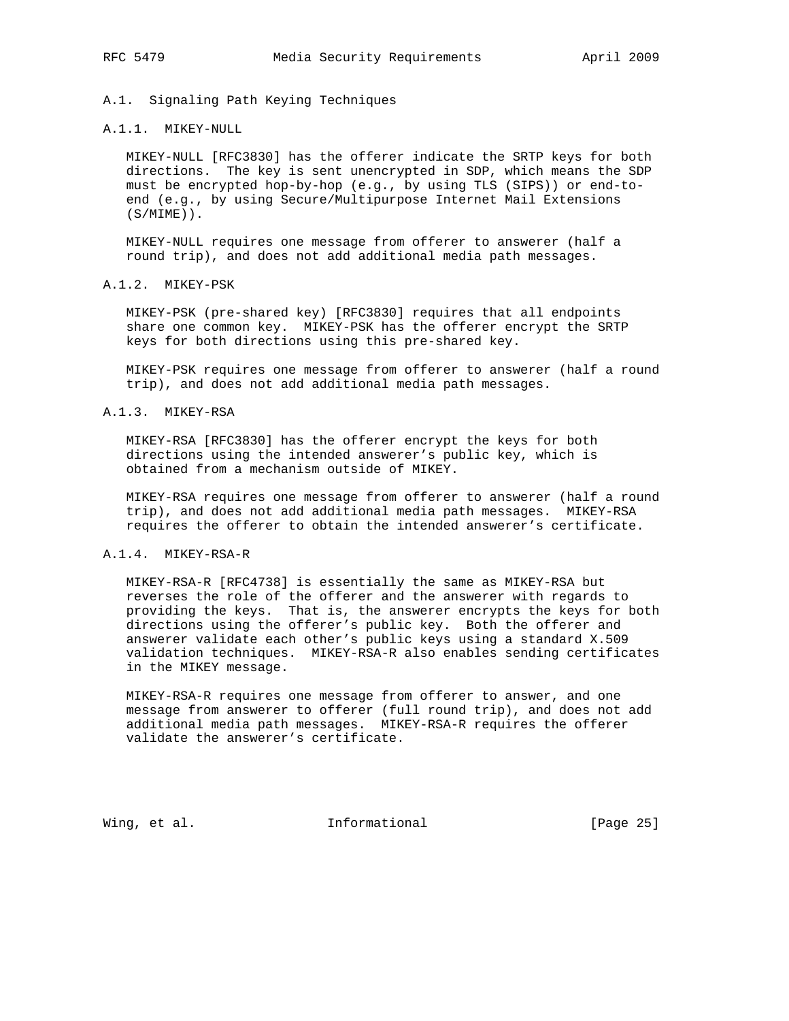# A.1. Signaling Path Keying Techniques

#### A.1.1. MIKEY-NULL

 MIKEY-NULL [RFC3830] has the offerer indicate the SRTP keys for both directions. The key is sent unencrypted in SDP, which means the SDP must be encrypted hop-by-hop (e.g., by using TLS (SIPS)) or end-to end (e.g., by using Secure/Multipurpose Internet Mail Extensions (S/MIME)).

 MIKEY-NULL requires one message from offerer to answerer (half a round trip), and does not add additional media path messages.

# A.1.2. MIKEY-PSK

 MIKEY-PSK (pre-shared key) [RFC3830] requires that all endpoints share one common key. MIKEY-PSK has the offerer encrypt the SRTP keys for both directions using this pre-shared key.

 MIKEY-PSK requires one message from offerer to answerer (half a round trip), and does not add additional media path messages.

#### A.1.3. MIKEY-RSA

 MIKEY-RSA [RFC3830] has the offerer encrypt the keys for both directions using the intended answerer's public key, which is obtained from a mechanism outside of MIKEY.

 MIKEY-RSA requires one message from offerer to answerer (half a round trip), and does not add additional media path messages. MIKEY-RSA requires the offerer to obtain the intended answerer's certificate.

## A.1.4. MIKEY-RSA-R

 MIKEY-RSA-R [RFC4738] is essentially the same as MIKEY-RSA but reverses the role of the offerer and the answerer with regards to providing the keys. That is, the answerer encrypts the keys for both directions using the offerer's public key. Both the offerer and answerer validate each other's public keys using a standard X.509 validation techniques. MIKEY-RSA-R also enables sending certificates in the MIKEY message.

 MIKEY-RSA-R requires one message from offerer to answer, and one message from answerer to offerer (full round trip), and does not add additional media path messages. MIKEY-RSA-R requires the offerer validate the answerer's certificate.

Wing, et al. 10. Informational 1. [Page 25]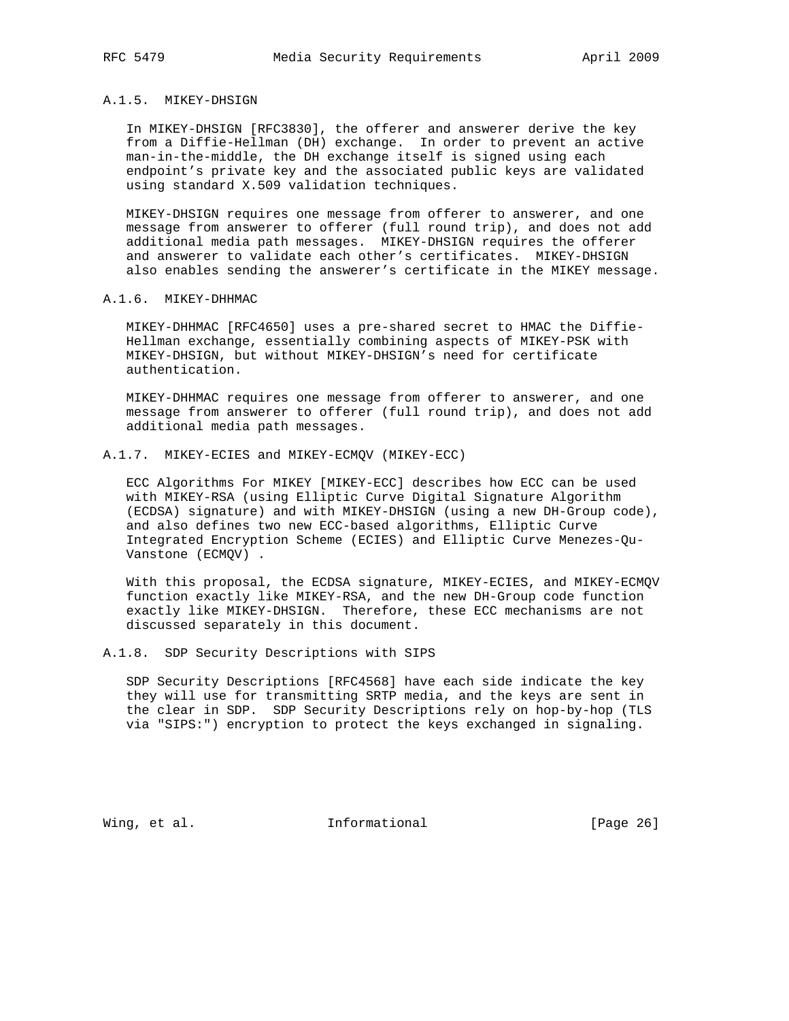## A.1.5. MIKEY-DHSIGN

 In MIKEY-DHSIGN [RFC3830], the offerer and answerer derive the key from a Diffie-Hellman (DH) exchange. In order to prevent an active man-in-the-middle, the DH exchange itself is signed using each endpoint's private key and the associated public keys are validated using standard X.509 validation techniques.

 MIKEY-DHSIGN requires one message from offerer to answerer, and one message from answerer to offerer (full round trip), and does not add additional media path messages. MIKEY-DHSIGN requires the offerer and answerer to validate each other's certificates. MIKEY-DHSIGN also enables sending the answerer's certificate in the MIKEY message.

#### A.1.6. MIKEY-DHHMAC

 MIKEY-DHHMAC [RFC4650] uses a pre-shared secret to HMAC the Diffie- Hellman exchange, essentially combining aspects of MIKEY-PSK with MIKEY-DHSIGN, but without MIKEY-DHSIGN's need for certificate authentication.

 MIKEY-DHHMAC requires one message from offerer to answerer, and one message from answerer to offerer (full round trip), and does not add additional media path messages.

## A.1.7. MIKEY-ECIES and MIKEY-ECMQV (MIKEY-ECC)

 ECC Algorithms For MIKEY [MIKEY-ECC] describes how ECC can be used with MIKEY-RSA (using Elliptic Curve Digital Signature Algorithm (ECDSA) signature) and with MIKEY-DHSIGN (using a new DH-Group code), and also defines two new ECC-based algorithms, Elliptic Curve Integrated Encryption Scheme (ECIES) and Elliptic Curve Menezes-Qu- Vanstone (ECMQV) .

 With this proposal, the ECDSA signature, MIKEY-ECIES, and MIKEY-ECMQV function exactly like MIKEY-RSA, and the new DH-Group code function exactly like MIKEY-DHSIGN. Therefore, these ECC mechanisms are not discussed separately in this document.

## A.1.8. SDP Security Descriptions with SIPS

 SDP Security Descriptions [RFC4568] have each side indicate the key they will use for transmitting SRTP media, and the keys are sent in the clear in SDP. SDP Security Descriptions rely on hop-by-hop (TLS via "SIPS:") encryption to protect the keys exchanged in signaling.

Wing, et al. 10 Informational 100 [Page 26]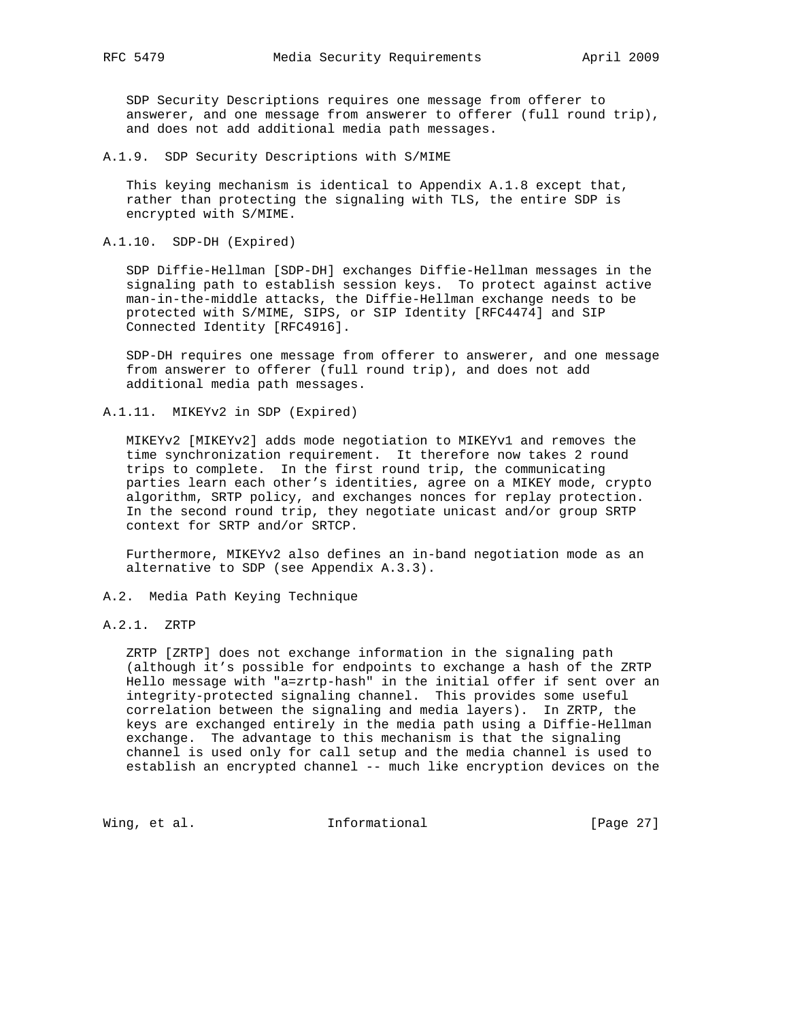SDP Security Descriptions requires one message from offerer to answerer, and one message from answerer to offerer (full round trip), and does not add additional media path messages.

A.1.9. SDP Security Descriptions with S/MIME

 This keying mechanism is identical to Appendix A.1.8 except that, rather than protecting the signaling with TLS, the entire SDP is encrypted with S/MIME.

A.1.10. SDP-DH (Expired)

 SDP Diffie-Hellman [SDP-DH] exchanges Diffie-Hellman messages in the signaling path to establish session keys. To protect against active man-in-the-middle attacks, the Diffie-Hellman exchange needs to be protected with S/MIME, SIPS, or SIP Identity [RFC4474] and SIP Connected Identity [RFC4916].

 SDP-DH requires one message from offerer to answerer, and one message from answerer to offerer (full round trip), and does not add additional media path messages.

A.1.11. MIKEYv2 in SDP (Expired)

 MIKEYv2 [MIKEYv2] adds mode negotiation to MIKEYv1 and removes the time synchronization requirement. It therefore now takes 2 round trips to complete. In the first round trip, the communicating parties learn each other's identities, agree on a MIKEY mode, crypto algorithm, SRTP policy, and exchanges nonces for replay protection. In the second round trip, they negotiate unicast and/or group SRTP context for SRTP and/or SRTCP.

 Furthermore, MIKEYv2 also defines an in-band negotiation mode as an alternative to SDP (see Appendix A.3.3).

- A.2. Media Path Keying Technique
- A.2.1. ZRTP

 ZRTP [ZRTP] does not exchange information in the signaling path (although it's possible for endpoints to exchange a hash of the ZRTP Hello message with "a=zrtp-hash" in the initial offer if sent over an integrity-protected signaling channel. This provides some useful correlation between the signaling and media layers). In ZRTP, the keys are exchanged entirely in the media path using a Diffie-Hellman exchange. The advantage to this mechanism is that the signaling channel is used only for call setup and the media channel is used to establish an encrypted channel -- much like encryption devices on the

Wing, et al. 1nformational 1999 [Page 27]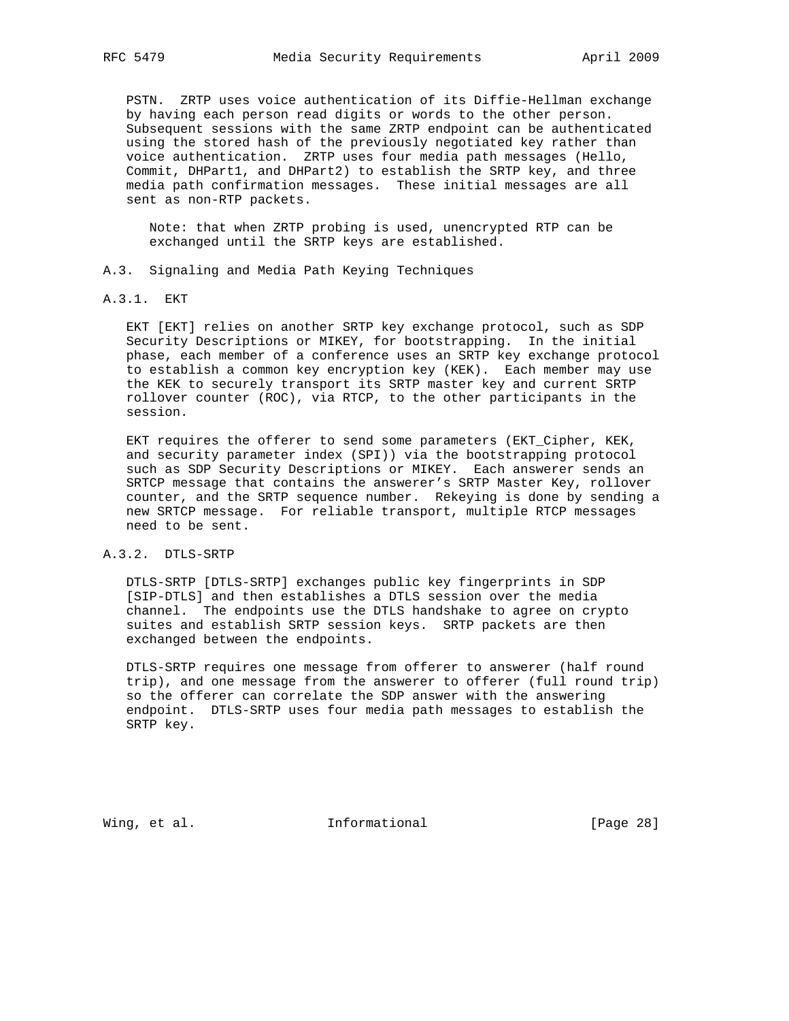PSTN. ZRTP uses voice authentication of its Diffie-Hellman exchange by having each person read digits or words to the other person. Subsequent sessions with the same ZRTP endpoint can be authenticated using the stored hash of the previously negotiated key rather than voice authentication. ZRTP uses four media path messages (Hello, Commit, DHPart1, and DHPart2) to establish the SRTP key, and three media path confirmation messages. These initial messages are all sent as non-RTP packets.

 Note: that when ZRTP probing is used, unencrypted RTP can be exchanged until the SRTP keys are established.

- A.3. Signaling and Media Path Keying Techniques
- A.3.1. EKT

 EKT [EKT] relies on another SRTP key exchange protocol, such as SDP Security Descriptions or MIKEY, for bootstrapping. In the initial phase, each member of a conference uses an SRTP key exchange protocol to establish a common key encryption key (KEK). Each member may use the KEK to securely transport its SRTP master key and current SRTP rollover counter (ROC), via RTCP, to the other participants in the session.

 EKT requires the offerer to send some parameters (EKT\_Cipher, KEK, and security parameter index (SPI)) via the bootstrapping protocol such as SDP Security Descriptions or MIKEY. Each answerer sends an SRTCP message that contains the answerer's SRTP Master Key, rollover counter, and the SRTP sequence number. Rekeying is done by sending a new SRTCP message. For reliable transport, multiple RTCP messages need to be sent.

## A.3.2. DTLS-SRTP

 DTLS-SRTP [DTLS-SRTP] exchanges public key fingerprints in SDP [SIP-DTLS] and then establishes a DTLS session over the media channel. The endpoints use the DTLS handshake to agree on crypto suites and establish SRTP session keys. SRTP packets are then exchanged between the endpoints.

 DTLS-SRTP requires one message from offerer to answerer (half round trip), and one message from the answerer to offerer (full round trip) so the offerer can correlate the SDP answer with the answering endpoint. DTLS-SRTP uses four media path messages to establish the SRTP key.

Wing, et al. 10 1nformational 11 [Page 28]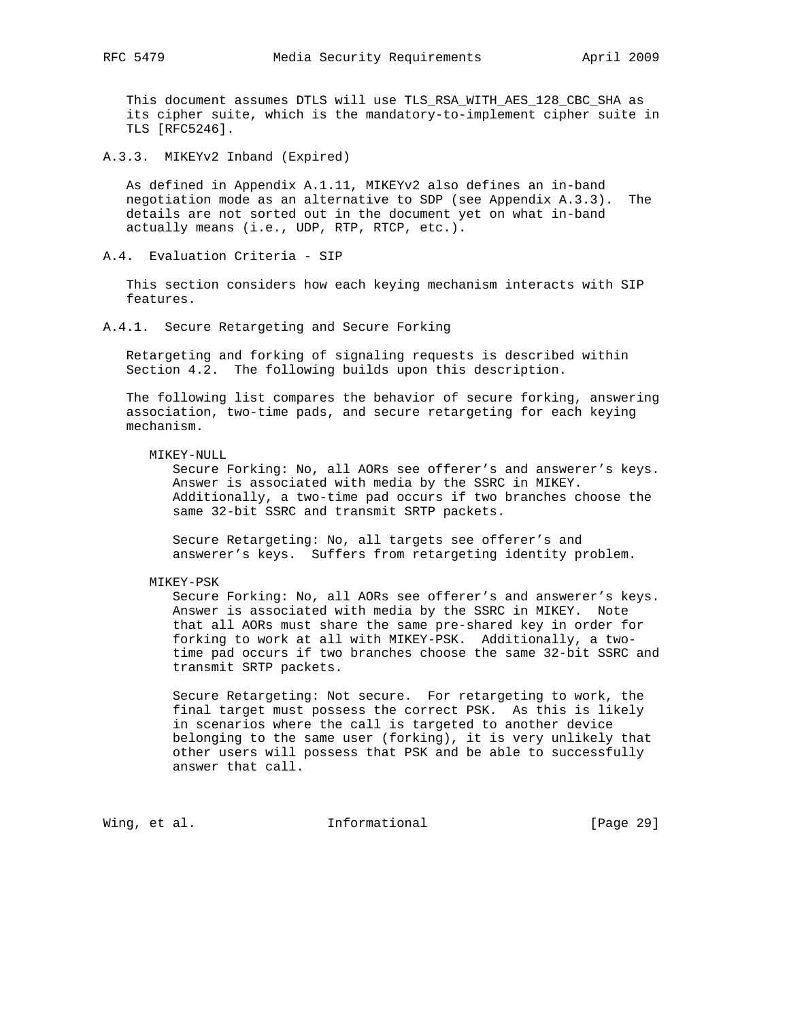This document assumes DTLS will use TLS\_RSA\_WITH\_AES\_128\_CBC\_SHA as its cipher suite, which is the mandatory-to-implement cipher suite in TLS [RFC5246].

A.3.3. MIKEYv2 Inband (Expired)

 As defined in Appendix A.1.11, MIKEYv2 also defines an in-band negotiation mode as an alternative to SDP (see Appendix A.3.3). The details are not sorted out in the document yet on what in-band actually means (i.e., UDP, RTP, RTCP, etc.).

A.4. Evaluation Criteria - SIP

 This section considers how each keying mechanism interacts with SIP features.

A.4.1. Secure Retargeting and Secure Forking

 Retargeting and forking of signaling requests is described within Section 4.2. The following builds upon this description.

 The following list compares the behavior of secure forking, answering association, two-time pads, and secure retargeting for each keying mechanism.

#### MIKEY-NULL

 Secure Forking: No, all AORs see offerer's and answerer's keys. Answer is associated with media by the SSRC in MIKEY. Additionally, a two-time pad occurs if two branches choose the same 32-bit SSRC and transmit SRTP packets.

 Secure Retargeting: No, all targets see offerer's and answerer's keys. Suffers from retargeting identity problem.

MIKEY-PSK

 Secure Forking: No, all AORs see offerer's and answerer's keys. Answer is associated with media by the SSRC in MIKEY. Note that all AORs must share the same pre-shared key in order for forking to work at all with MIKEY-PSK. Additionally, a two time pad occurs if two branches choose the same 32-bit SSRC and transmit SRTP packets.

 Secure Retargeting: Not secure. For retargeting to work, the final target must possess the correct PSK. As this is likely in scenarios where the call is targeted to another device belonging to the same user (forking), it is very unlikely that other users will possess that PSK and be able to successfully answer that call.

Wing, et al. 10 Informational 11 [Page 29]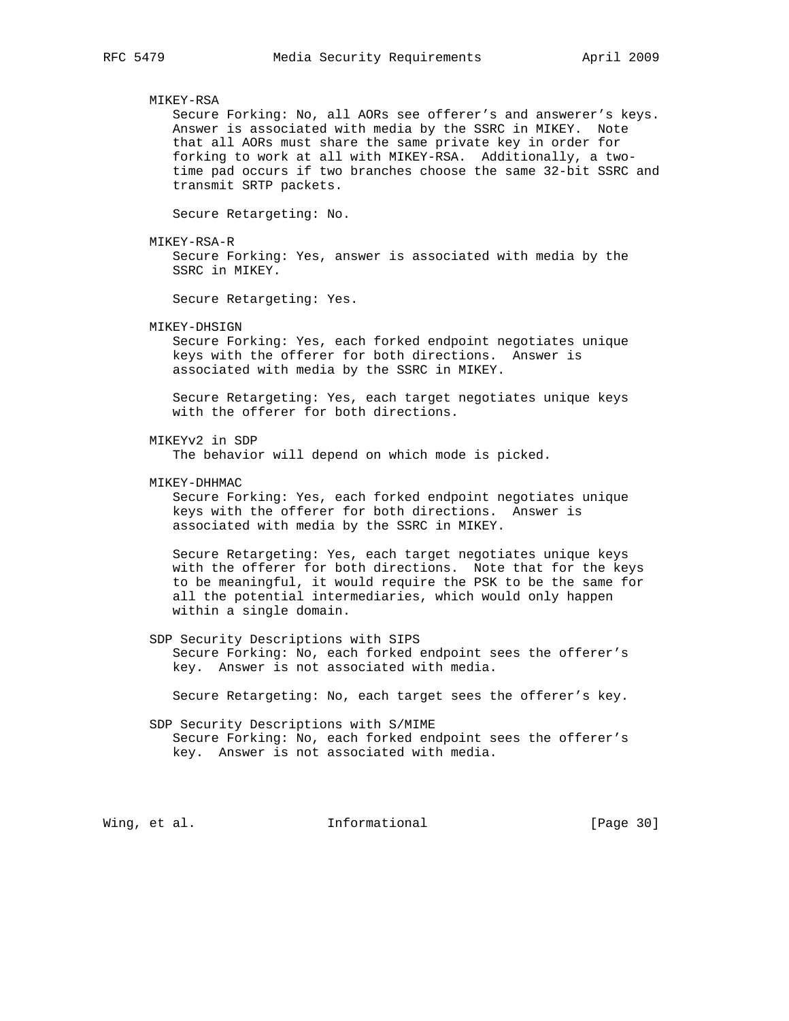#### MIKEY-RSA

 Secure Forking: No, all AORs see offerer's and answerer's keys. Answer is associated with media by the SSRC in MIKEY. Note that all AORs must share the same private key in order for forking to work at all with MIKEY-RSA. Additionally, a two time pad occurs if two branches choose the same 32-bit SSRC and transmit SRTP packets.

Secure Retargeting: No.

MIKEY-RSA-R

 Secure Forking: Yes, answer is associated with media by the SSRC in MIKEY.

Secure Retargeting: Yes.

#### MIKEY-DHSIGN

 Secure Forking: Yes, each forked endpoint negotiates unique keys with the offerer for both directions. Answer is associated with media by the SSRC in MIKEY.

 Secure Retargeting: Yes, each target negotiates unique keys with the offerer for both directions.

MIKEYv2 in SDP

The behavior will depend on which mode is picked.

MIKEY-DHHMAC

 Secure Forking: Yes, each forked endpoint negotiates unique keys with the offerer for both directions. Answer is associated with media by the SSRC in MIKEY.

 Secure Retargeting: Yes, each target negotiates unique keys with the offerer for both directions. Note that for the keys to be meaningful, it would require the PSK to be the same for all the potential intermediaries, which would only happen within a single domain.

 SDP Security Descriptions with SIPS Secure Forking: No, each forked endpoint sees the offerer's key. Answer is not associated with media.

Secure Retargeting: No, each target sees the offerer's key.

# SDP Security Descriptions with S/MIME Secure Forking: No, each forked endpoint sees the offerer's key. Answer is not associated with media.

Wing, et al. **Informational** [Page 30]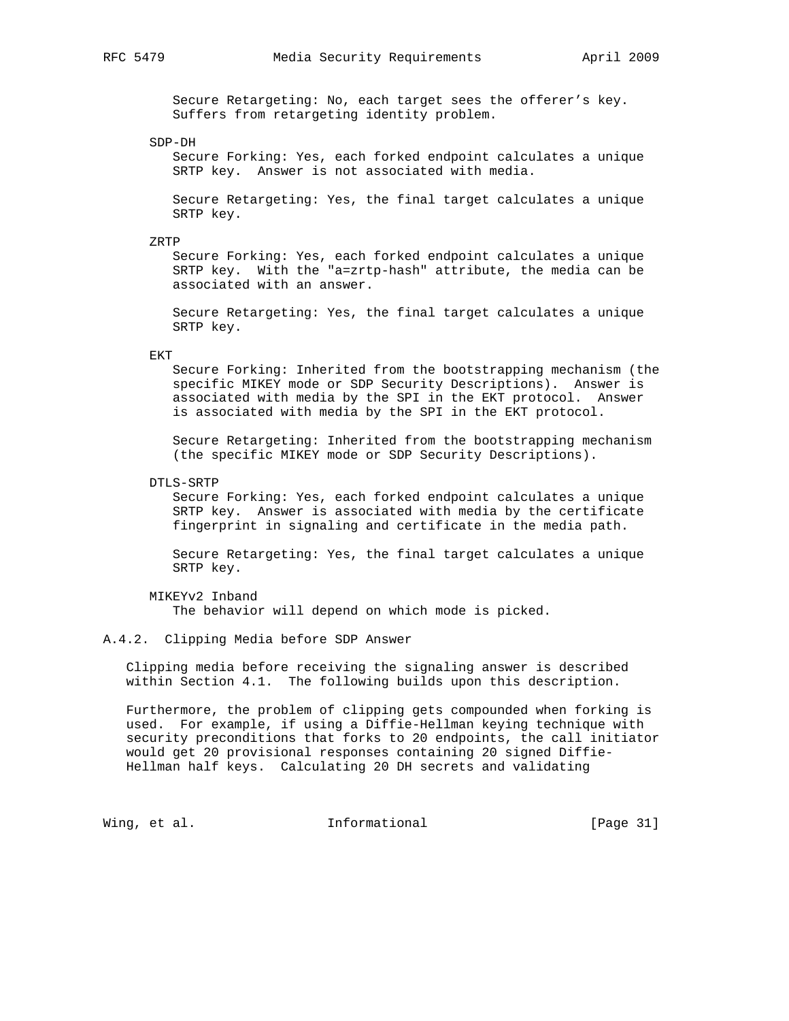Secure Retargeting: No, each target sees the offerer's key. Suffers from retargeting identity problem.

SDP-DH

 Secure Forking: Yes, each forked endpoint calculates a unique SRTP key. Answer is not associated with media.

 Secure Retargeting: Yes, the final target calculates a unique SRTP key.

ZRTP

 Secure Forking: Yes, each forked endpoint calculates a unique SRTP key. With the "a=zrtp-hash" attribute, the media can be associated with an answer.

 Secure Retargeting: Yes, the final target calculates a unique SRTP key.

EKT

 Secure Forking: Inherited from the bootstrapping mechanism (the specific MIKEY mode or SDP Security Descriptions). Answer is associated with media by the SPI in the EKT protocol. Answer is associated with media by the SPI in the EKT protocol.

 Secure Retargeting: Inherited from the bootstrapping mechanism (the specific MIKEY mode or SDP Security Descriptions).

DTLS-SRTP

 Secure Forking: Yes, each forked endpoint calculates a unique SRTP key. Answer is associated with media by the certificate fingerprint in signaling and certificate in the media path.

 Secure Retargeting: Yes, the final target calculates a unique SRTP key.

 MIKEYv2 Inband The behavior will depend on which mode is picked.

A.4.2. Clipping Media before SDP Answer

 Clipping media before receiving the signaling answer is described within Section 4.1. The following builds upon this description.

 Furthermore, the problem of clipping gets compounded when forking is used. For example, if using a Diffie-Hellman keying technique with security preconditions that forks to 20 endpoints, the call initiator would get 20 provisional responses containing 20 signed Diffie- Hellman half keys. Calculating 20 DH secrets and validating

Wing, et al. 10 1nformational 11 [Page 31]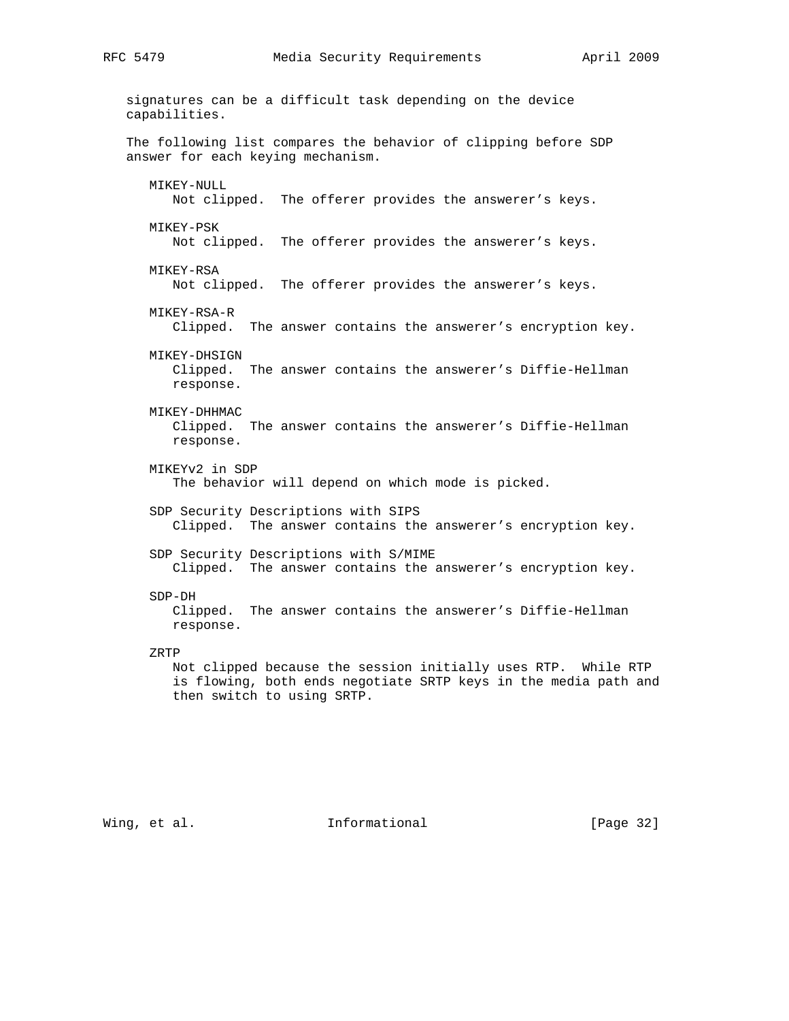signatures can be a difficult task depending on the device capabilities. The following list compares the behavior of clipping before SDP answer for each keying mechanism. MIKEY-NULL Not clipped. The offerer provides the answerer's keys. MIKEY-PSK Not clipped. The offerer provides the answerer's keys. MIKEY-RSA Not clipped. The offerer provides the answerer's keys. MIKEY-RSA-R Clipped. The answer contains the answerer's encryption key. MIKEY-DHSIGN Clipped. The answer contains the answerer's Diffie-Hellman response. MIKEY-DHHMAC Clipped. The answer contains the answerer's Diffie-Hellman response. MIKEYv2 in SDP The behavior will depend on which mode is picked. SDP Security Descriptions with SIPS Clipped. The answer contains the answerer's encryption key. SDP Security Descriptions with S/MIME Clipped. The answer contains the answerer's encryption key. SDP-DH Clipped. The answer contains the answerer's Diffie-Hellman response. ZRTP Not clipped because the session initially uses RTP. While RTP is flowing, both ends negotiate SRTP keys in the media path and then switch to using SRTP.

Wing, et al. 10. Informational 1. [Page 32]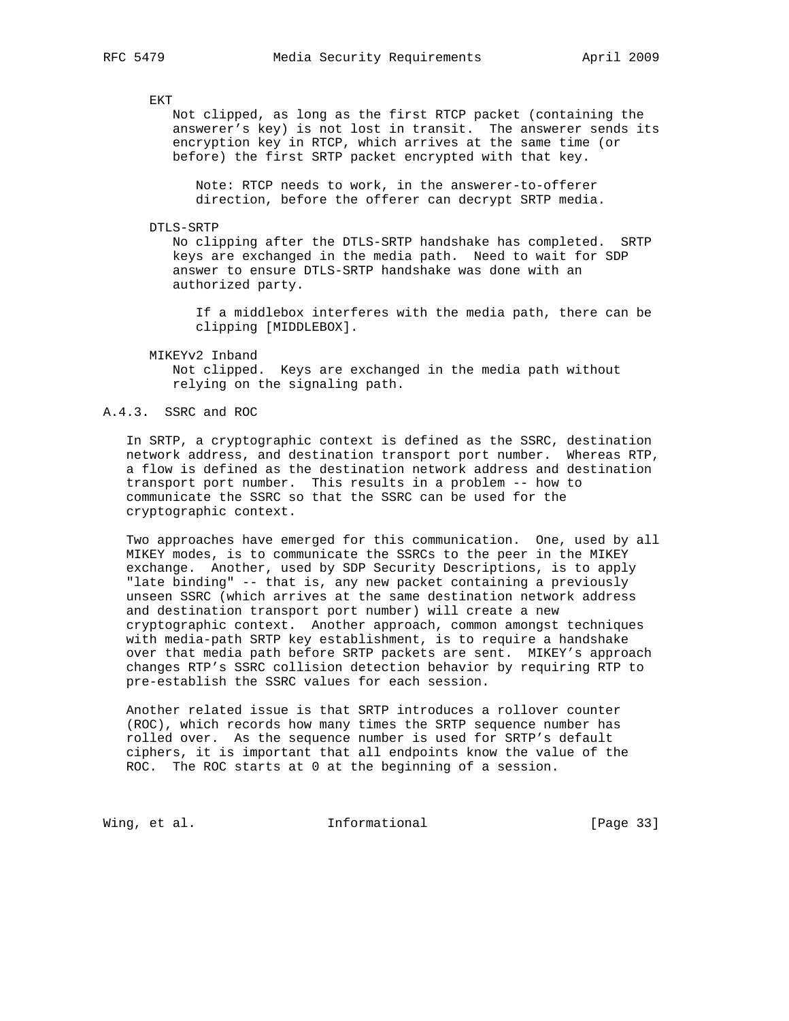EKT

 Not clipped, as long as the first RTCP packet (containing the answerer's key) is not lost in transit. The answerer sends its encryption key in RTCP, which arrives at the same time (or before) the first SRTP packet encrypted with that key.

 Note: RTCP needs to work, in the answerer-to-offerer direction, before the offerer can decrypt SRTP media.

#### DTLS-SRTP

 No clipping after the DTLS-SRTP handshake has completed. SRTP keys are exchanged in the media path. Need to wait for SDP answer to ensure DTLS-SRTP handshake was done with an authorized party.

 If a middlebox interferes with the media path, there can be clipping [MIDDLEBOX].

MIKEYv2 Inband

 Not clipped. Keys are exchanged in the media path without relying on the signaling path.

## A.4.3. SSRC and ROC

 In SRTP, a cryptographic context is defined as the SSRC, destination network address, and destination transport port number. Whereas RTP, a flow is defined as the destination network address and destination transport port number. This results in a problem -- how to communicate the SSRC so that the SSRC can be used for the cryptographic context.

 Two approaches have emerged for this communication. One, used by all MIKEY modes, is to communicate the SSRCs to the peer in the MIKEY exchange. Another, used by SDP Security Descriptions, is to apply "late binding" -- that is, any new packet containing a previously unseen SSRC (which arrives at the same destination network address and destination transport port number) will create a new cryptographic context. Another approach, common amongst techniques with media-path SRTP key establishment, is to require a handshake over that media path before SRTP packets are sent. MIKEY's approach changes RTP's SSRC collision detection behavior by requiring RTP to pre-establish the SSRC values for each session.

 Another related issue is that SRTP introduces a rollover counter (ROC), which records how many times the SRTP sequence number has rolled over. As the sequence number is used for SRTP's default ciphers, it is important that all endpoints know the value of the ROC. The ROC starts at 0 at the beginning of a session.

Wing, et al. 10. Informational 1. [Page 33]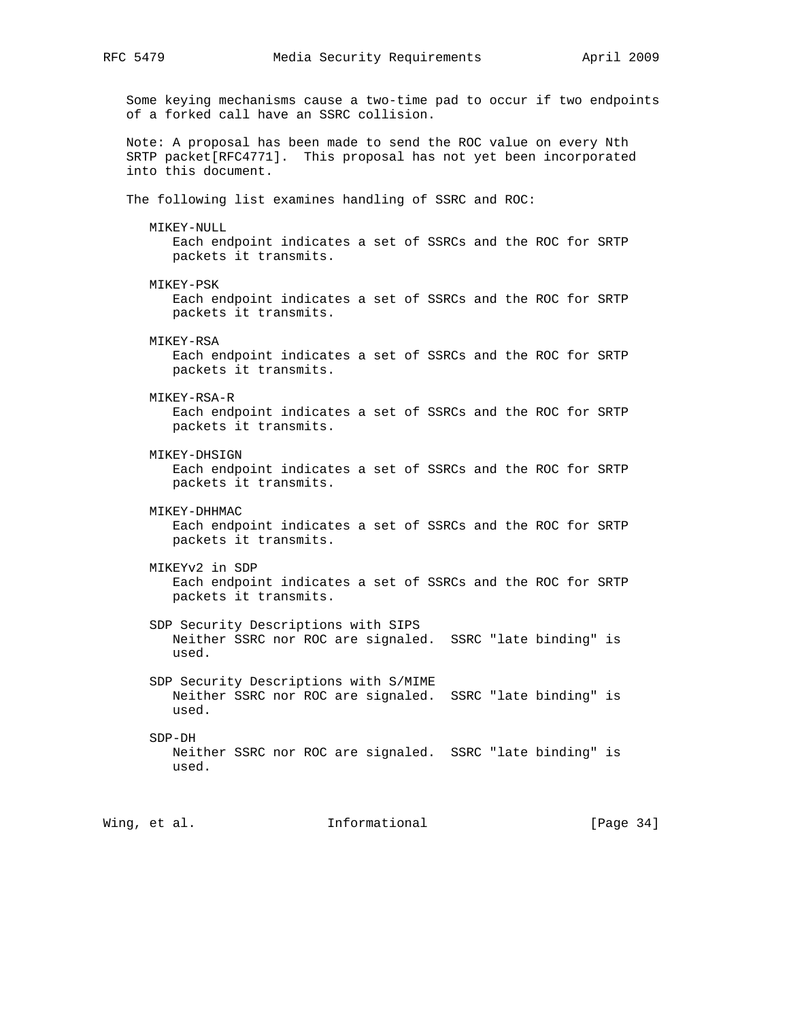Some keying mechanisms cause a two-time pad to occur if two endpoints of a forked call have an SSRC collision. Note: A proposal has been made to send the ROC value on every Nth SRTP packet[RFC4771]. This proposal has not yet been incorporated into this document. The following list examines handling of SSRC and ROC: MIKEY-NULL Each endpoint indicates a set of SSRCs and the ROC for SRTP packets it transmits. MIKEY-PSK Each endpoint indicates a set of SSRCs and the ROC for SRTP packets it transmits. MIKEY-RSA Each endpoint indicates a set of SSRCs and the ROC for SRTP packets it transmits. MIKEY-RSA-R Each endpoint indicates a set of SSRCs and the ROC for SRTP packets it transmits. MIKEY-DHSIGN Each endpoint indicates a set of SSRCs and the ROC for SRTP packets it transmits. MIKEY-DHHMAC Each endpoint indicates a set of SSRCs and the ROC for SRTP packets it transmits. MIKEYv2 in SDP Each endpoint indicates a set of SSRCs and the ROC for SRTP packets it transmits. SDP Security Descriptions with SIPS Neither SSRC nor ROC are signaled. SSRC "late binding" is used. SDP Security Descriptions with S/MIME Neither SSRC nor ROC are signaled. SSRC "late binding" is used. SDP-DH Neither SSRC nor ROC are signaled. SSRC "late binding" is used.

Wing, et al. **Informational** [Page 34]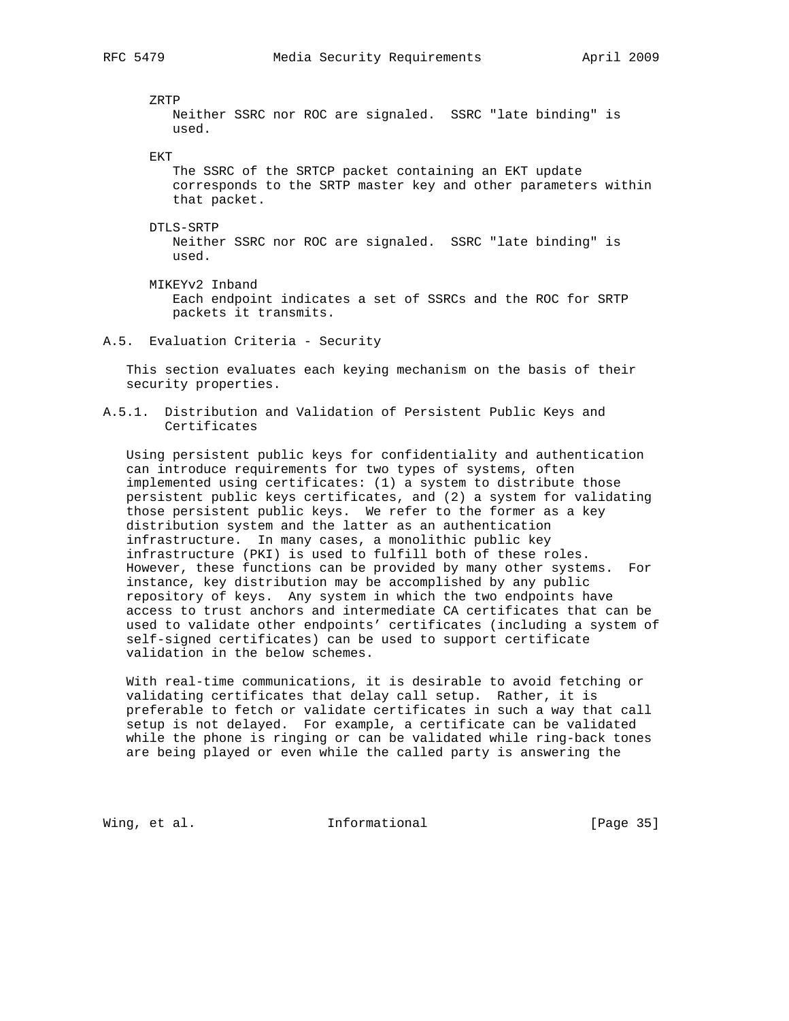ZRTP

 Neither SSRC nor ROC are signaled. SSRC "late binding" is used.

EKT

 The SSRC of the SRTCP packet containing an EKT update corresponds to the SRTP master key and other parameters within that packet.

DTLS-SRTP

 Neither SSRC nor ROC are signaled. SSRC "late binding" is used.

 MIKEYv2 Inband Each endpoint indicates a set of SSRCs and the ROC for SRTP packets it transmits.

A.5. Evaluation Criteria - Security

 This section evaluates each keying mechanism on the basis of their security properties.

A.5.1. Distribution and Validation of Persistent Public Keys and Certificates

 Using persistent public keys for confidentiality and authentication can introduce requirements for two types of systems, often implemented using certificates: (1) a system to distribute those persistent public keys certificates, and (2) a system for validating those persistent public keys. We refer to the former as a key distribution system and the latter as an authentication infrastructure. In many cases, a monolithic public key infrastructure (PKI) is used to fulfill both of these roles. However, these functions can be provided by many other systems. For instance, key distribution may be accomplished by any public repository of keys. Any system in which the two endpoints have access to trust anchors and intermediate CA certificates that can be used to validate other endpoints' certificates (including a system of self-signed certificates) can be used to support certificate validation in the below schemes.

 With real-time communications, it is desirable to avoid fetching or validating certificates that delay call setup. Rather, it is preferable to fetch or validate certificates in such a way that call setup is not delayed. For example, a certificate can be validated while the phone is ringing or can be validated while ring-back tones are being played or even while the called party is answering the

Wing, et al. 10. Informational 1. [Page 35]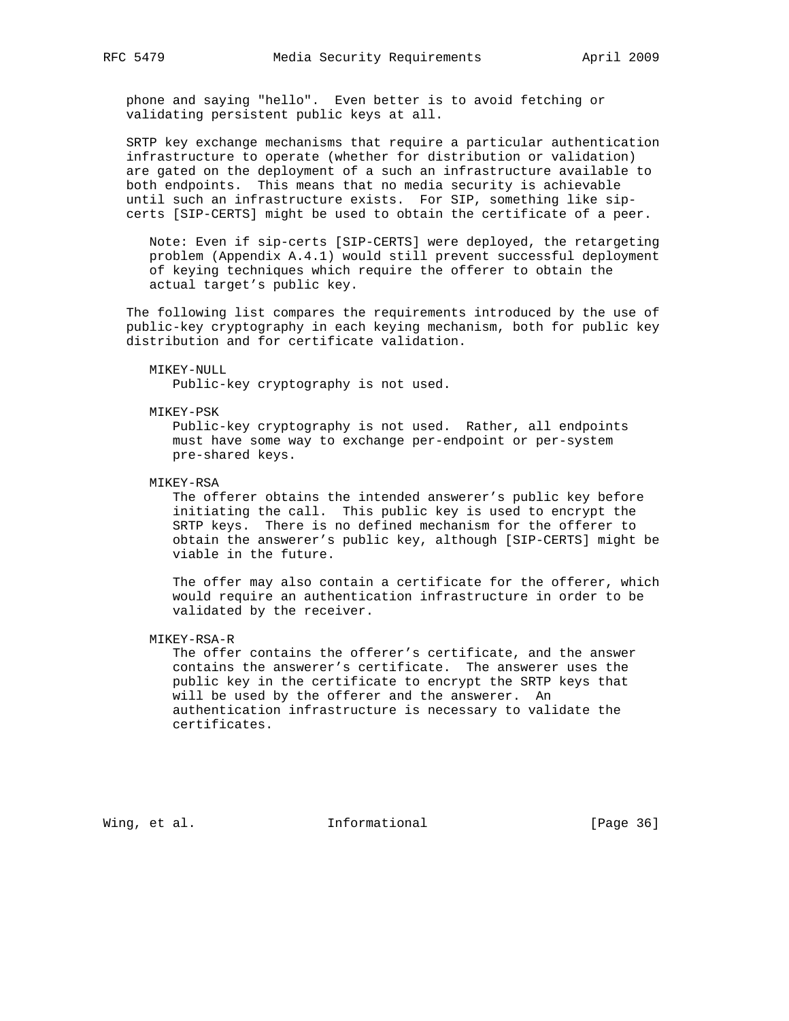phone and saying "hello". Even better is to avoid fetching or validating persistent public keys at all.

 SRTP key exchange mechanisms that require a particular authentication infrastructure to operate (whether for distribution or validation) are gated on the deployment of a such an infrastructure available to both endpoints. This means that no media security is achievable until such an infrastructure exists. For SIP, something like sip certs [SIP-CERTS] might be used to obtain the certificate of a peer.

 Note: Even if sip-certs [SIP-CERTS] were deployed, the retargeting problem (Appendix A.4.1) would still prevent successful deployment of keying techniques which require the offerer to obtain the actual target's public key.

 The following list compares the requirements introduced by the use of public-key cryptography in each keying mechanism, both for public key distribution and for certificate validation.

MIKEY-NULL

Public-key cryptography is not used.

MIKEY-PSK

 Public-key cryptography is not used. Rather, all endpoints must have some way to exchange per-endpoint or per-system pre-shared keys.

MIKEY-RSA

 The offerer obtains the intended answerer's public key before initiating the call. This public key is used to encrypt the SRTP keys. There is no defined mechanism for the offerer to obtain the answerer's public key, although [SIP-CERTS] might be viable in the future.

 The offer may also contain a certificate for the offerer, which would require an authentication infrastructure in order to be validated by the receiver.

MIKEY-RSA-R

 The offer contains the offerer's certificate, and the answer contains the answerer's certificate. The answerer uses the public key in the certificate to encrypt the SRTP keys that will be used by the offerer and the answerer. An authentication infrastructure is necessary to validate the certificates.

Wing, et al. 10. Informational 1. [Page 36]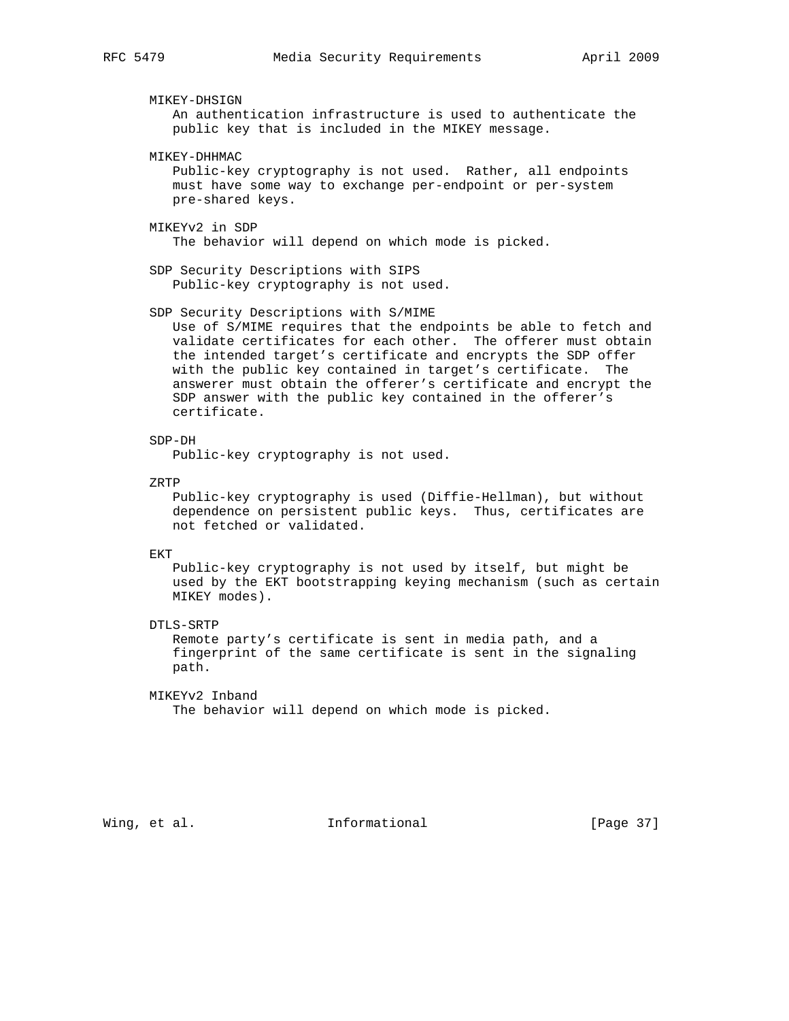MIKEY-DHSIGN

 An authentication infrastructure is used to authenticate the public key that is included in the MIKEY message.

MIKEY-DHHMAC

 Public-key cryptography is not used. Rather, all endpoints must have some way to exchange per-endpoint or per-system pre-shared keys.

MIKEYv2 in SDP

The behavior will depend on which mode is picked.

 SDP Security Descriptions with SIPS Public-key cryptography is not used.

SDP Security Descriptions with S/MIME

 Use of S/MIME requires that the endpoints be able to fetch and validate certificates for each other. The offerer must obtain the intended target's certificate and encrypts the SDP offer with the public key contained in target's certificate. The answerer must obtain the offerer's certificate and encrypt the SDP answer with the public key contained in the offerer's certificate.

SDP-DH

Public-key cryptography is not used.

ZRTP

 Public-key cryptography is used (Diffie-Hellman), but without dependence on persistent public keys. Thus, certificates are not fetched or validated.

EKT

 Public-key cryptography is not used by itself, but might be used by the EKT bootstrapping keying mechanism (such as certain MIKEY modes).

DTLS-SRTP

 Remote party's certificate is sent in media path, and a fingerprint of the same certificate is sent in the signaling path.

MIKEYv2 Inband

The behavior will depend on which mode is picked.

Wing, et al. 10. Informational 1. [Page 37]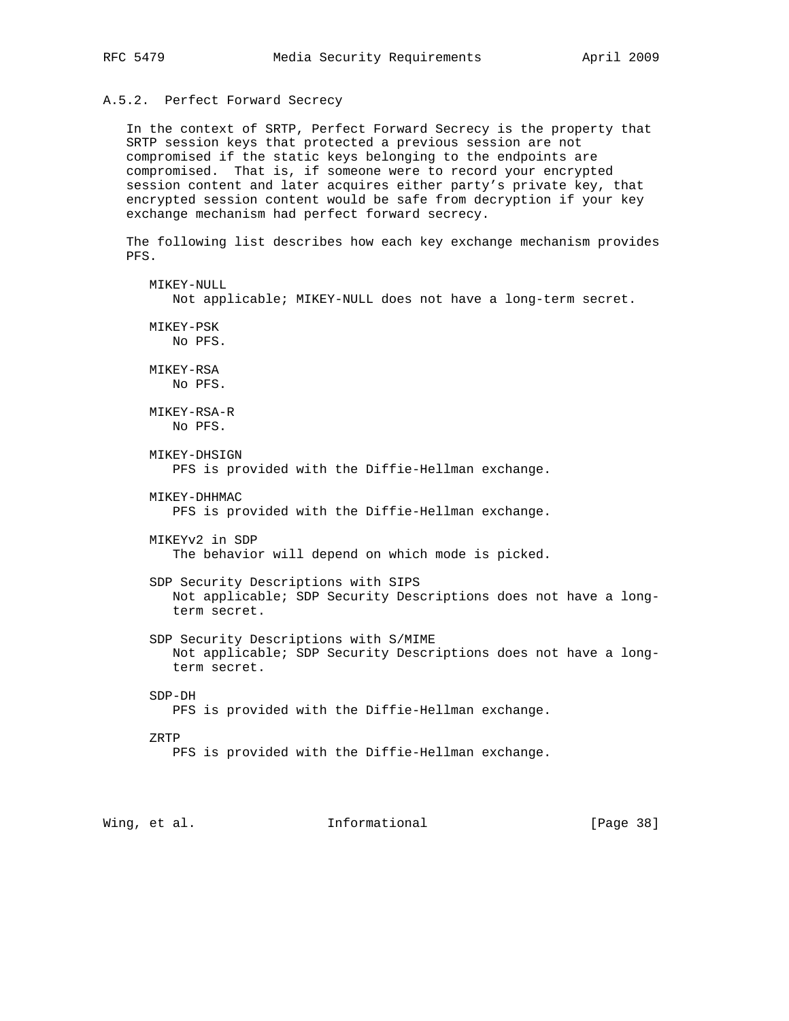# A.5.2. Perfect Forward Secrecy

 In the context of SRTP, Perfect Forward Secrecy is the property that SRTP session keys that protected a previous session are not compromised if the static keys belonging to the endpoints are compromised. That is, if someone were to record your encrypted session content and later acquires either party's private key, that encrypted session content would be safe from decryption if your key exchange mechanism had perfect forward secrecy.

 The following list describes how each key exchange mechanism provides PFS.

 MIKEY-NULL Not applicable; MIKEY-NULL does not have a long-term secret. MIKEY-PSK No PFS. MIKEY-RSA No PFS. MIKEY-RSA-R No PFS. MIKEY-DHSIGN PFS is provided with the Diffie-Hellman exchange. MIKEY-DHHMAC PFS is provided with the Diffie-Hellman exchange. MIKEYv2 in SDP The behavior will depend on which mode is picked. SDP Security Descriptions with SIPS Not applicable; SDP Security Descriptions does not have a long term secret. SDP Security Descriptions with S/MIME Not applicable; SDP Security Descriptions does not have a long term secret. SDP-DH PFS is provided with the Diffie-Hellman exchange. ZRTP PFS is provided with the Diffie-Hellman exchange.

Wing, et al. **Informational** [Page 38]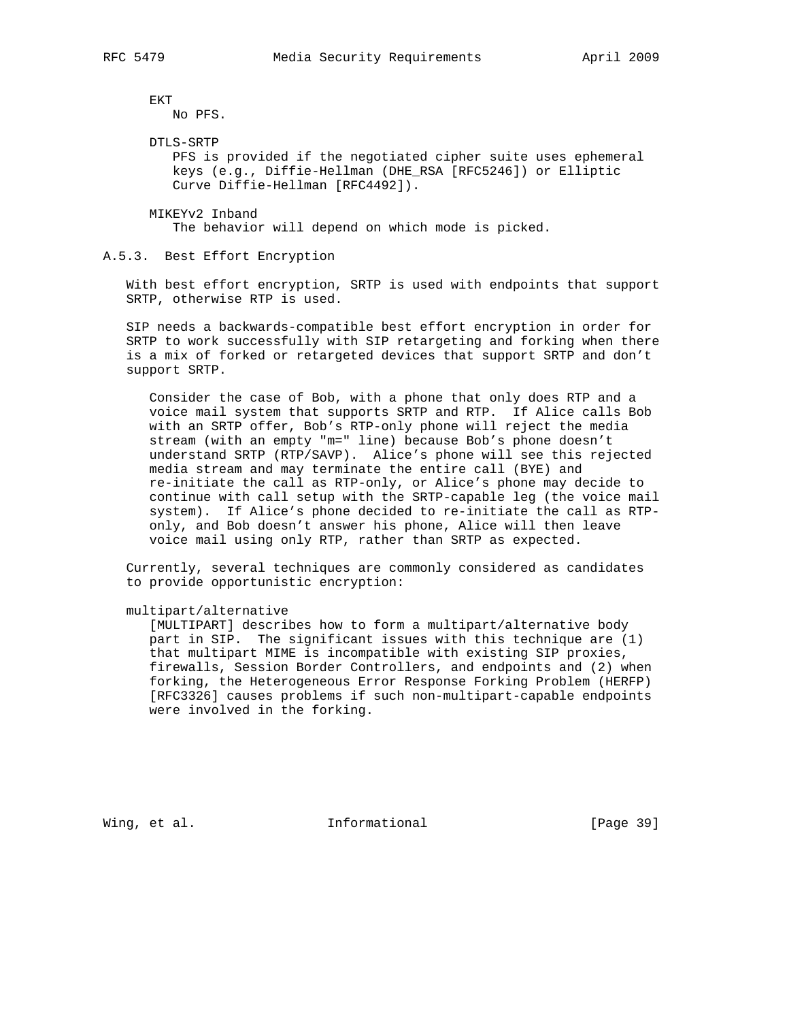EKT

No PFS.

DTLS-SRTP

 PFS is provided if the negotiated cipher suite uses ephemeral keys (e.g., Diffie-Hellman (DHE\_RSA [RFC5246]) or Elliptic Curve Diffie-Hellman [RFC4492]).

 MIKEYv2 Inband The behavior will depend on which mode is picked.

A.5.3. Best Effort Encryption

 With best effort encryption, SRTP is used with endpoints that support SRTP, otherwise RTP is used.

 SIP needs a backwards-compatible best effort encryption in order for SRTP to work successfully with SIP retargeting and forking when there is a mix of forked or retargeted devices that support SRTP and don't support SRTP.

 Consider the case of Bob, with a phone that only does RTP and a voice mail system that supports SRTP and RTP. If Alice calls Bob with an SRTP offer, Bob's RTP-only phone will reject the media stream (with an empty "m=" line) because Bob's phone doesn't understand SRTP (RTP/SAVP). Alice's phone will see this rejected media stream and may terminate the entire call (BYE) and re-initiate the call as RTP-only, or Alice's phone may decide to continue with call setup with the SRTP-capable leg (the voice mail system). If Alice's phone decided to re-initiate the call as RTP only, and Bob doesn't answer his phone, Alice will then leave voice mail using only RTP, rather than SRTP as expected.

 Currently, several techniques are commonly considered as candidates to provide opportunistic encryption:

multipart/alternative

 [MULTIPART] describes how to form a multipart/alternative body part in SIP. The significant issues with this technique are (1) that multipart MIME is incompatible with existing SIP proxies, firewalls, Session Border Controllers, and endpoints and (2) when forking, the Heterogeneous Error Response Forking Problem (HERFP) [RFC3326] causes problems if such non-multipart-capable endpoints were involved in the forking.

Wing, et al. 10. Informational 1. [Page 39]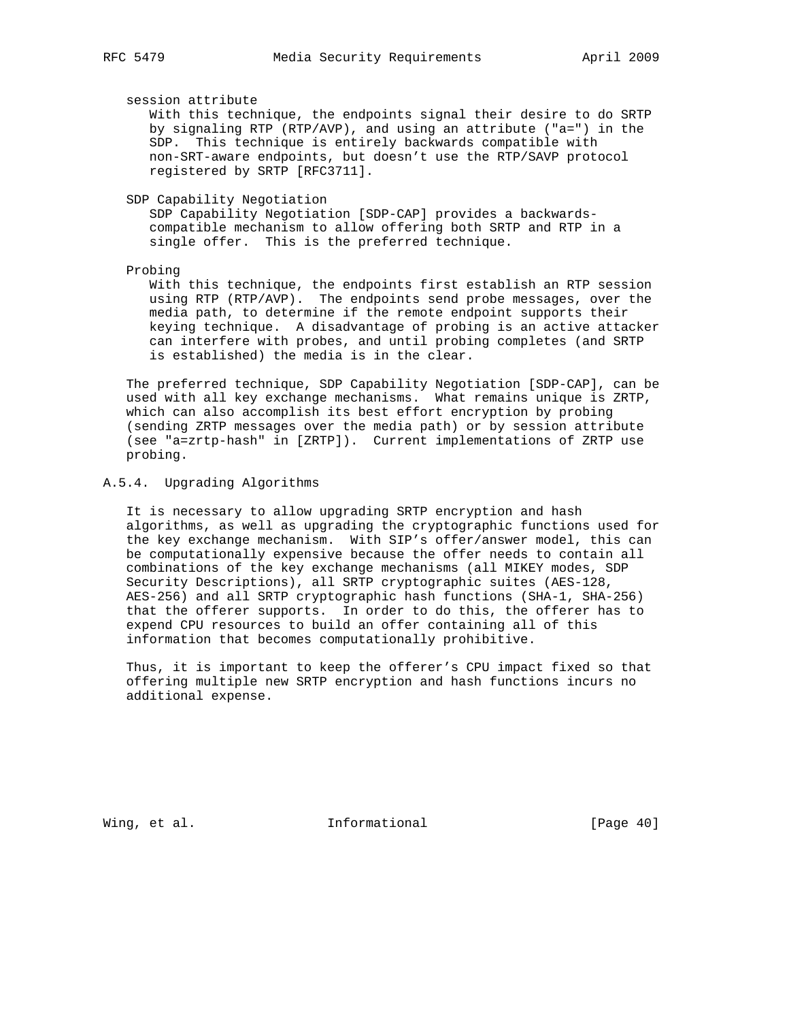session attribute

 With this technique, the endpoints signal their desire to do SRTP by signaling RTP (RTP/AVP), and using an attribute ("a=") in the SDP. This technique is entirely backwards compatible with non-SRT-aware endpoints, but doesn't use the RTP/SAVP protocol registered by SRTP [RFC3711].

SDP Capability Negotiation

 SDP Capability Negotiation [SDP-CAP] provides a backwards compatible mechanism to allow offering both SRTP and RTP in a single offer. This is the preferred technique.

#### Probing

 With this technique, the endpoints first establish an RTP session using RTP (RTP/AVP). The endpoints send probe messages, over the media path, to determine if the remote endpoint supports their keying technique. A disadvantage of probing is an active attacker can interfere with probes, and until probing completes (and SRTP is established) the media is in the clear.

 The preferred technique, SDP Capability Negotiation [SDP-CAP], can be used with all key exchange mechanisms. What remains unique is ZRTP, which can also accomplish its best effort encryption by probing (sending ZRTP messages over the media path) or by session attribute (see "a=zrtp-hash" in [ZRTP]). Current implementations of ZRTP use probing.

## A.5.4. Upgrading Algorithms

 It is necessary to allow upgrading SRTP encryption and hash algorithms, as well as upgrading the cryptographic functions used for the key exchange mechanism. With SIP's offer/answer model, this can be computationally expensive because the offer needs to contain all combinations of the key exchange mechanisms (all MIKEY modes, SDP Security Descriptions), all SRTP cryptographic suites (AES-128, AES-256) and all SRTP cryptographic hash functions (SHA-1, SHA-256) that the offerer supports. In order to do this, the offerer has to expend CPU resources to build an offer containing all of this information that becomes computationally prohibitive.

 Thus, it is important to keep the offerer's CPU impact fixed so that offering multiple new SRTP encryption and hash functions incurs no additional expense.

Wing, et al. 10 Informational 100 [Page 40]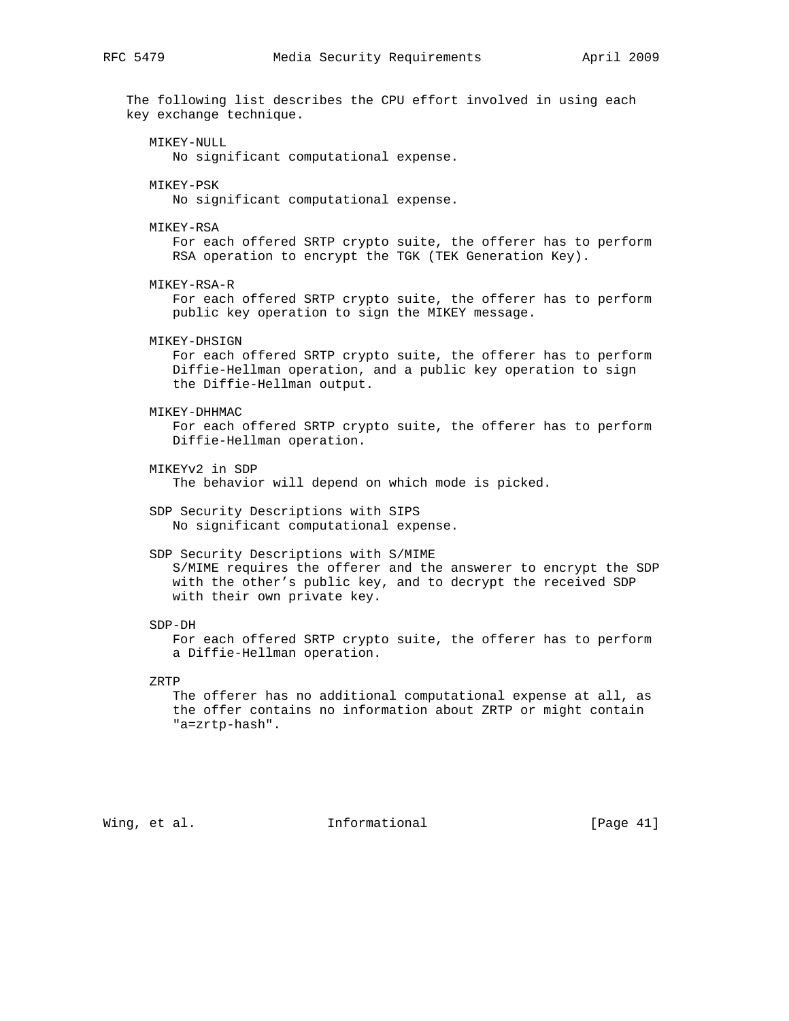The following list describes the CPU effort involved in using each key exchange technique. MIKEY-NULL No significant computational expense. MIKEY-PSK No significant computational expense. MIKEY-RSA

 For each offered SRTP crypto suite, the offerer has to perform RSA operation to encrypt the TGK (TEK Generation Key).

MIKEY-RSA-R

 For each offered SRTP crypto suite, the offerer has to perform public key operation to sign the MIKEY message.

MIKEY-DHSIGN

 For each offered SRTP crypto suite, the offerer has to perform Diffie-Hellman operation, and a public key operation to sign the Diffie-Hellman output.

MIKEY-DHHMAC

 For each offered SRTP crypto suite, the offerer has to perform Diffie-Hellman operation.

MIKEYv2 in SDP

The behavior will depend on which mode is picked.

 SDP Security Descriptions with SIPS No significant computational expense.

#### SDP Security Descriptions with S/MIME

 S/MIME requires the offerer and the answerer to encrypt the SDP with the other's public key, and to decrypt the received SDP with their own private key.

SDP-DH

 For each offered SRTP crypto suite, the offerer has to perform a Diffie-Hellman operation.

ZRTP

 The offerer has no additional computational expense at all, as the offer contains no information about ZRTP or might contain "a=zrtp-hash".

Wing, et al. **Informational** [Page 41]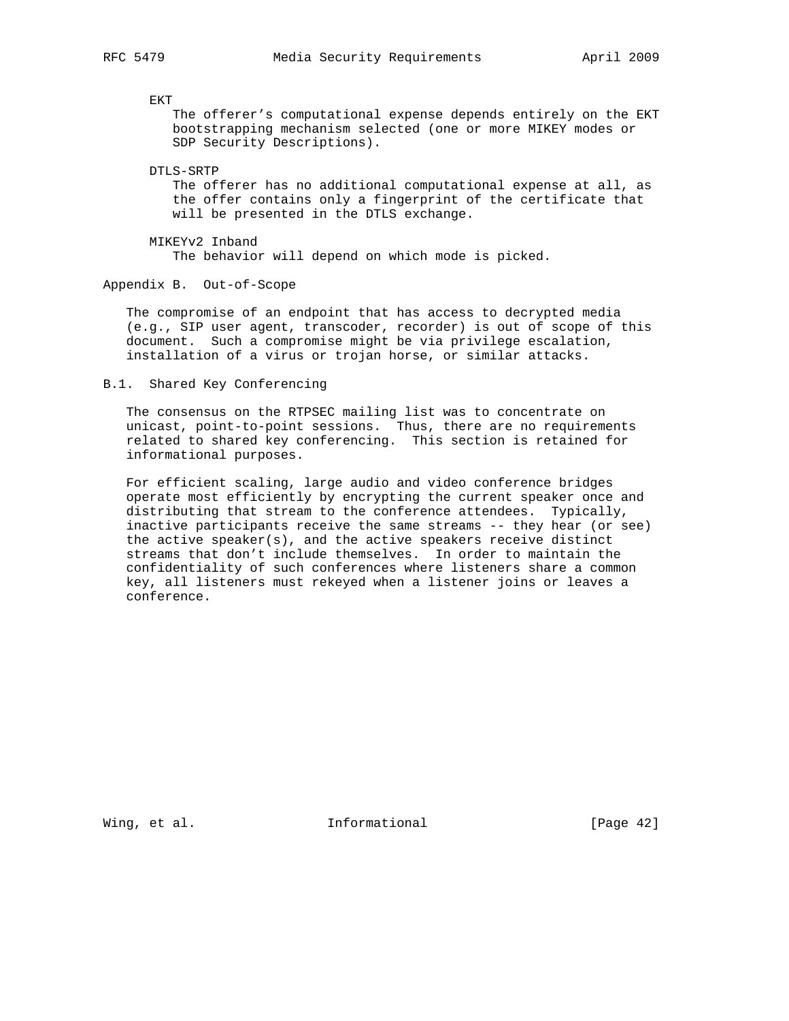EKT

 The offerer's computational expense depends entirely on the EKT bootstrapping mechanism selected (one or more MIKEY modes or SDP Security Descriptions).

DTLS-SRTP

 The offerer has no additional computational expense at all, as the offer contains only a fingerprint of the certificate that will be presented in the DTLS exchange.

 MIKEYv2 Inband The behavior will depend on which mode is picked.

Appendix B. Out-of-Scope

 The compromise of an endpoint that has access to decrypted media (e.g., SIP user agent, transcoder, recorder) is out of scope of this document. Such a compromise might be via privilege escalation, installation of a virus or trojan horse, or similar attacks.

B.1. Shared Key Conferencing

 The consensus on the RTPSEC mailing list was to concentrate on unicast, point-to-point sessions. Thus, there are no requirements related to shared key conferencing. This section is retained for informational purposes.

 For efficient scaling, large audio and video conference bridges operate most efficiently by encrypting the current speaker once and distributing that stream to the conference attendees. Typically, inactive participants receive the same streams -- they hear (or see) the active speaker(s), and the active speakers receive distinct streams that don't include themselves. In order to maintain the confidentiality of such conferences where listeners share a common key, all listeners must rekeyed when a listener joins or leaves a conference.

Wing, et al. 1nformational 1999 [Page 42]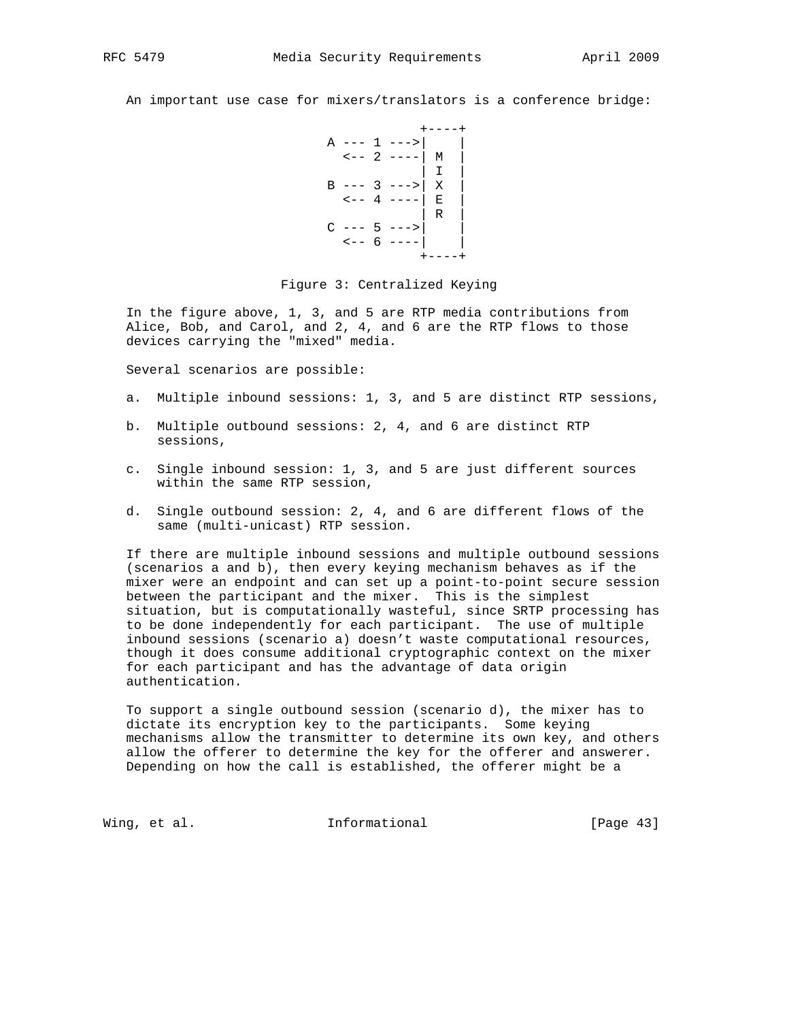An important use case for mixers/translators is a conference bridge:

```
 +----+
A --- 1 --->|
\leftarrow -2 ---- \mid M \mid | I |
B --- 3 ---> |X|\left. \begin{array}{cc} --4 & --- & E \\ \end{array} \right. | R |
C --- 5 --->
 <-- 6 ----| |
 +----+
```
Figure 3: Centralized Keying

 In the figure above, 1, 3, and 5 are RTP media contributions from Alice, Bob, and Carol, and 2, 4, and 6 are the RTP flows to those devices carrying the "mixed" media.

Several scenarios are possible:

- a. Multiple inbound sessions: 1, 3, and 5 are distinct RTP sessions,
- b. Multiple outbound sessions: 2, 4, and 6 are distinct RTP sessions,
- c. Single inbound session: 1, 3, and 5 are just different sources within the same RTP session,
- d. Single outbound session: 2, 4, and 6 are different flows of the same (multi-unicast) RTP session.

 If there are multiple inbound sessions and multiple outbound sessions (scenarios a and b), then every keying mechanism behaves as if the mixer were an endpoint and can set up a point-to-point secure session between the participant and the mixer. This is the simplest situation, but is computationally wasteful, since SRTP processing has to be done independently for each participant. The use of multiple inbound sessions (scenario a) doesn't waste computational resources, though it does consume additional cryptographic context on the mixer for each participant and has the advantage of data origin authentication.

 To support a single outbound session (scenario d), the mixer has to dictate its encryption key to the participants. Some keying mechanisms allow the transmitter to determine its own key, and others allow the offerer to determine the key for the offerer and answerer. Depending on how the call is established, the offerer might be a

Wing, et al. **Informational** [Page 43]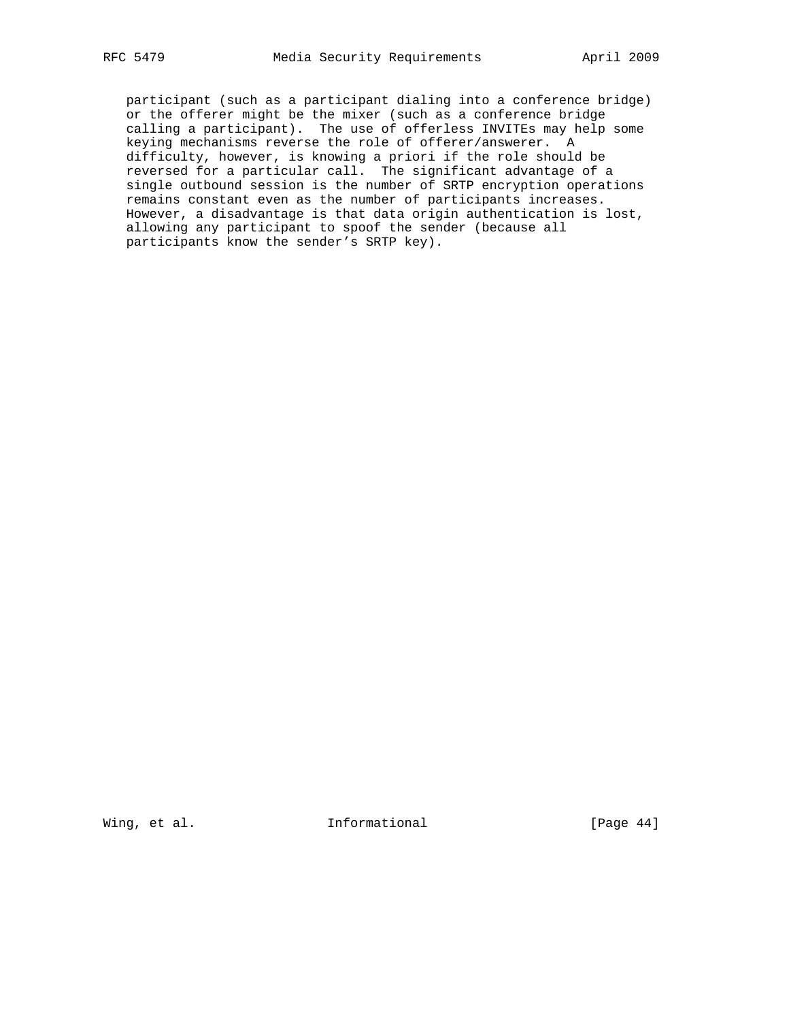participant (such as a participant dialing into a conference bridge) or the offerer might be the mixer (such as a conference bridge calling a participant). The use of offerless INVITEs may help some keying mechanisms reverse the role of offerer/answerer. A difficulty, however, is knowing a priori if the role should be reversed for a particular call. The significant advantage of a single outbound session is the number of SRTP encryption operations remains constant even as the number of participants increases. However, a disadvantage is that data origin authentication is lost, allowing any participant to spoof the sender (because all participants know the sender's SRTP key).

Wing, et al. 10 Informational 100 [Page 44]